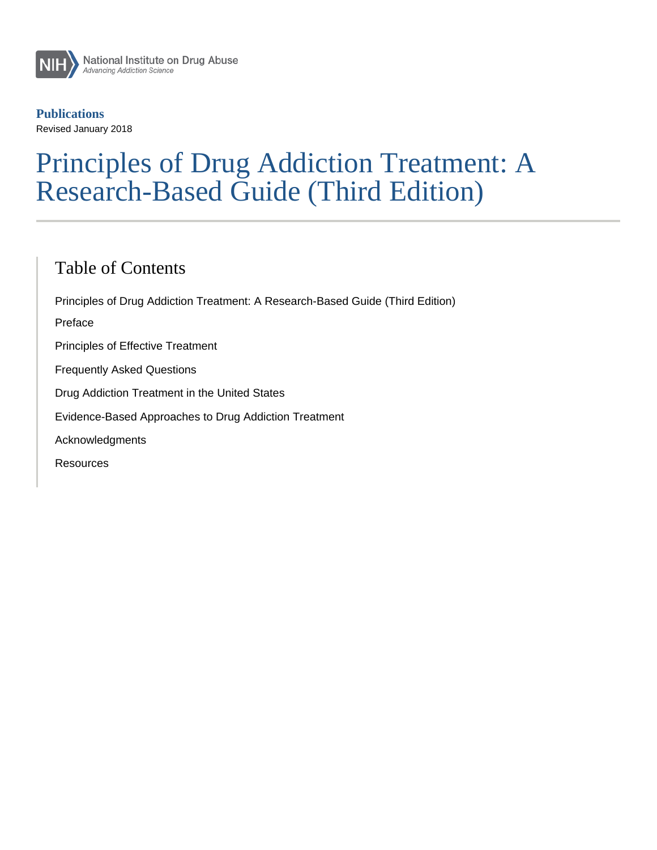**Publications** Revised January 2018

# Principles of Drug Addiction Treatment: A Research-Based Guide (Third Edition)

#### Table of Contents

Principles of Drug Addiction Treatment: A Research-Based Guide (Third Edition) Preface Principles of Effective Treatment Frequently Asked Questions Drug Addiction Treatment in the United States Evidence-Based Approaches to Drug Addiction Treatment Acknowledgments Resources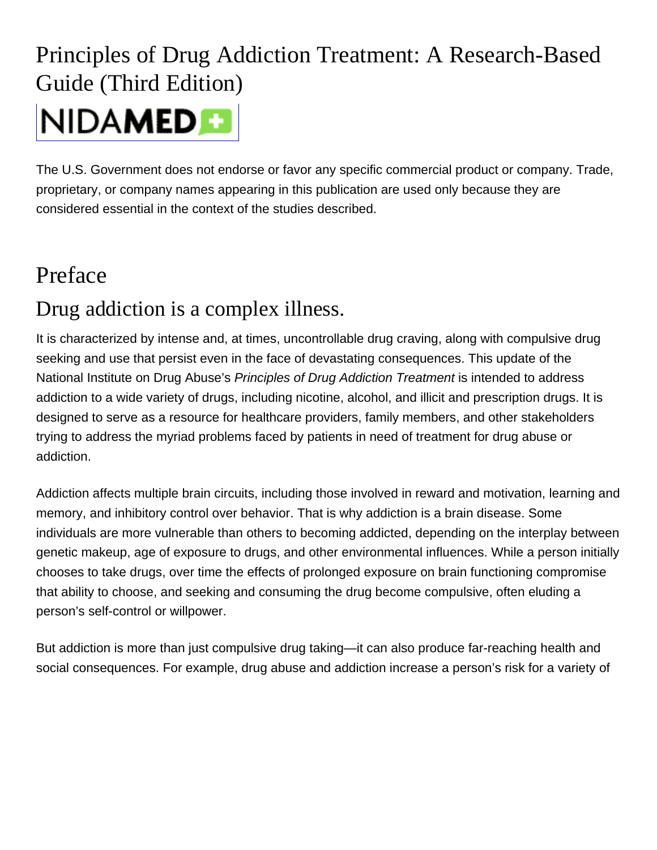# Principles of Drug Addiction Treatment: A Research-Based Guide (Third Edition)

The U.S. Government does not endorse or favor any specific commercial product or company. Trade, proprietary, or company names appearing in this publication are used only because they are considered essential in the context of the studies described.

# Preface

#### Drug addiction is a complex illness.

It is characterized by intense and, at times, uncontrollable drug craving, along with compulsive drug seeking and use that persist even in the face of devastating consequences. This update of the National Institute on Drug Abuse's Principles of Drug Addiction Treatment is intended to address addiction to a wide variety of drugs, including nicotine, alcohol, and illicit and prescription drugs. It is designed to serve as a resource for healthcare providers, family members, and other stakeholders trying to address the myriad problems faced by patients in need of treatment for drug abuse or addiction.

Addiction affects multiple brain circuits, including those involved in reward and motivation, learning and memory, and inhibitory control over behavior. That is why addiction is a brain disease. Some individuals are more vulnerable than others to becoming addicted, depending on the interplay between genetic makeup, age of exposure to drugs, and other environmental influences. While a person initially chooses to take drugs, over time the effects of prolonged exposure on brain functioning compromise that ability to choose, and seeking and consuming the drug become compulsive, often eluding a person's self-control or willpower.

But addiction is more than just compulsive drug taking—it can also produce far-reaching health and social consequences. For example, drug abuse and addiction increase a person's risk for a variety of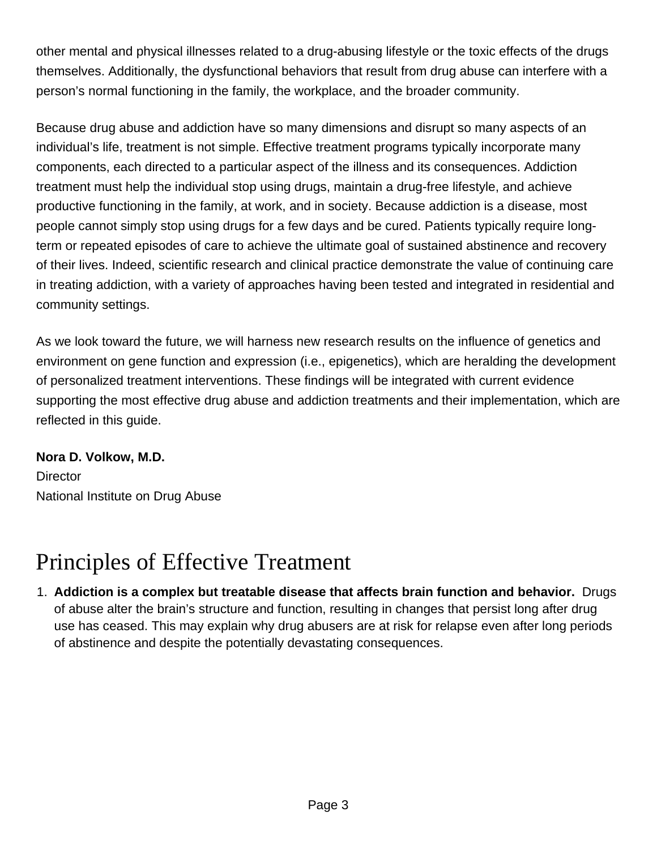other mental and physical illnesses related to a drug-abusing lifestyle or the toxic effects of the drugs themselves. Additionally, the dysfunctional behaviors that result from drug abuse can interfere with a person's normal functioning in the family, the workplace, and the broader community.

Because drug abuse and addiction have so many dimensions and disrupt so many aspects of an individual's life, treatment is not simple. Effective treatment programs typically incorporate many components, each directed to a particular aspect of the illness and its consequences. Addiction treatment must help the individual stop using drugs, maintain a drug-free lifestyle, and achieve productive functioning in the family, at work, and in society. Because addiction is a disease, most people cannot simply stop using drugs for a few days and be cured. Patients typically require longterm or repeated episodes of care to achieve the ultimate goal of sustained abstinence and recovery of their lives. Indeed, scientific research and clinical practice demonstrate the value of continuing care in treating addiction, with a variety of approaches having been tested and integrated in residential and community settings.

As we look toward the future, we will harness new research results on the influence of genetics and environment on gene function and expression (i.e., epigenetics), which are heralding the development of personalized treatment interventions. These findings will be integrated with current evidence supporting the most effective drug abuse and addiction treatments and their implementation, which are reflected in this guide.

#### **Nora D. Volkow, M.D.**

**Director** National Institute on Drug Abuse

### Principles of Effective Treatment

1. **Addiction is a complex but treatable disease that affects brain function and behavior.** Drugs of abuse alter the brain's structure and function, resulting in changes that persist long after drug use has ceased. This may explain why drug abusers are at risk for relapse even after long periods of abstinence and despite the potentially devastating consequences.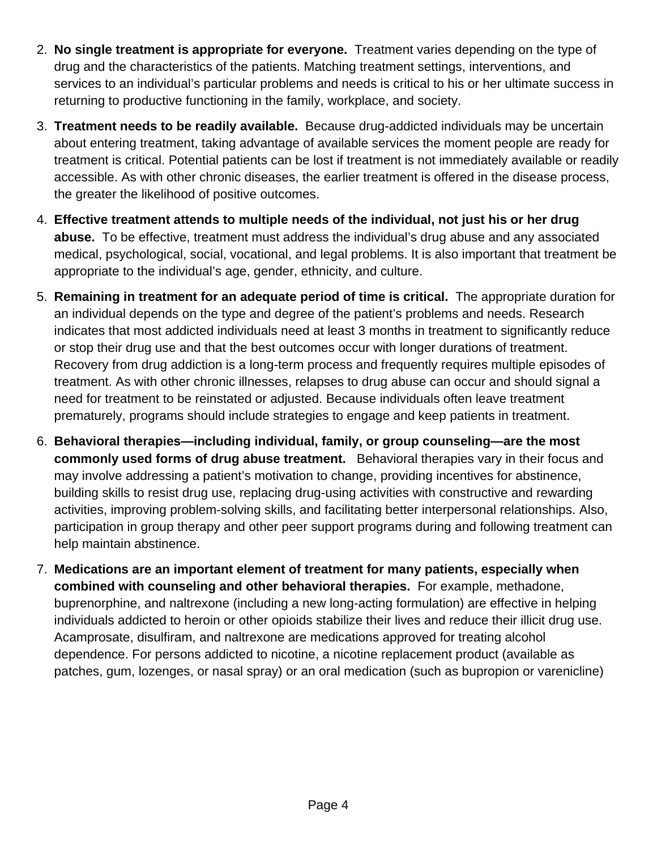- 2. **No single treatment is appropriate for everyone.** Treatment varies depending on the type of drug and the characteristics of the patients. Matching treatment settings, interventions, and services to an individual's particular problems and needs is critical to his or her ultimate success in returning to productive functioning in the family, workplace, and society.
- 3. **Treatment needs to be readily available.** Because drug-addicted individuals may be uncertain about entering treatment, taking advantage of available services the moment people are ready for treatment is critical. Potential patients can be lost if treatment is not immediately available or readily accessible. As with other chronic diseases, the earlier treatment is offered in the disease process, the greater the likelihood of positive outcomes.
- 4. **Effective treatment attends to multiple needs of the individual, not just his or her drug abuse.** To be effective, treatment must address the individual's drug abuse and any associated medical, psychological, social, vocational, and legal problems. It is also important that treatment be appropriate to the individual's age, gender, ethnicity, and culture.
- 5. **Remaining in treatment for an adequate period of time is critical.** The appropriate duration for an individual depends on the type and degree of the patient's problems and needs. Research indicates that most addicted individuals need at least 3 months in treatment to significantly reduce or stop their drug use and that the best outcomes occur with longer durations of treatment. Recovery from drug addiction is a long-term process and frequently requires multiple episodes of treatment. As with other chronic illnesses, relapses to drug abuse can occur and should signal a need for treatment to be reinstated or adjusted. Because individuals often leave treatment prematurely, programs should include strategies to engage and keep patients in treatment.
- 6. **Behavioral therapies—including individual, family, or group counseling—are the most commonly used forms of drug abuse treatment.** Behavioral therapies vary in their focus and may involve addressing a patient's motivation to change, providing incentives for abstinence, building skills to resist drug use, replacing drug-using activities with constructive and rewarding activities, improving problem-solving skills, and facilitating better interpersonal relationships. Also, participation in group therapy and other peer support programs during and following treatment can help maintain abstinence.
- 7. **Medications are an important element of treatment for many patients, especially when combined with counseling and other behavioral therapies.** For example, methadone, buprenorphine, and naltrexone (including a new long-acting formulation) are effective in helping individuals addicted to heroin or other opioids stabilize their lives and reduce their illicit drug use. Acamprosate, disulfiram, and naltrexone are medications approved for treating alcohol dependence. For persons addicted to nicotine, a nicotine replacement product (available as patches, gum, lozenges, or nasal spray) or an oral medication (such as bupropion or varenicline)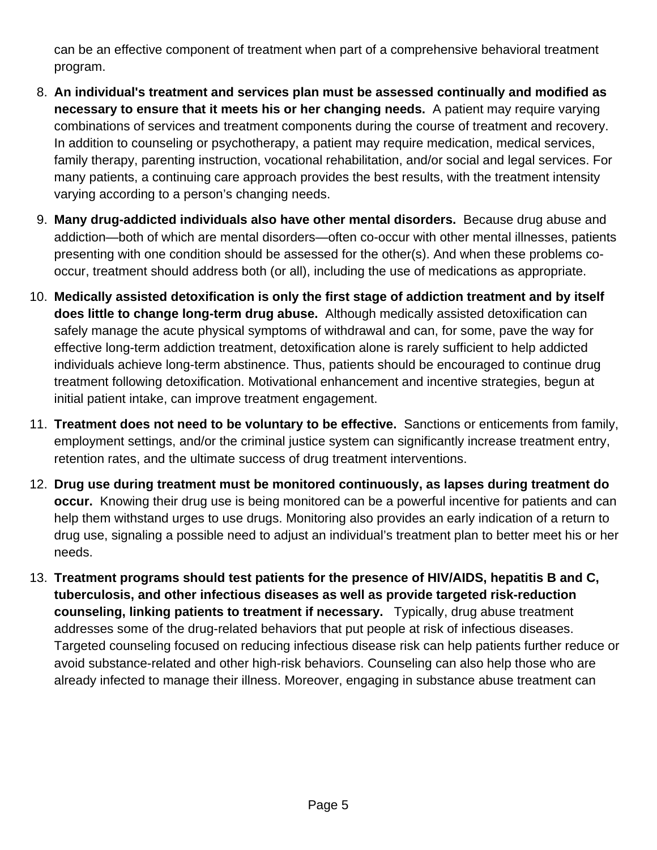can be an effective component of treatment when part of a comprehensive behavioral treatment program.

- 8. **An individual's treatment and services plan must be assessed continually and modified as necessary to ensure that it meets his or her changing needs.** A patient may require varying combinations of services and treatment components during the course of treatment and recovery. In addition to counseling or psychotherapy, a patient may require medication, medical services, family therapy, parenting instruction, vocational rehabilitation, and/or social and legal services. For many patients, a continuing care approach provides the best results, with the treatment intensity varying according to a person's changing needs.
- 9. **Many drug-addicted individuals also have other mental disorders.** Because drug abuse and addiction—both of which are mental disorders—often co-occur with other mental illnesses, patients presenting with one condition should be assessed for the other(s). And when these problems cooccur, treatment should address both (or all), including the use of medications as appropriate.
- 10. **Medically assisted detoxification is only the first stage of addiction treatment and by itself does little to change long-term drug abuse.** Although medically assisted detoxification can safely manage the acute physical symptoms of withdrawal and can, for some, pave the way for effective long-term addiction treatment, detoxification alone is rarely sufficient to help addicted individuals achieve long-term abstinence. Thus, patients should be encouraged to continue drug treatment following detoxification. Motivational enhancement and incentive strategies, begun at initial patient intake, can improve treatment engagement.
- 11. **Treatment does not need to be voluntary to be effective.** Sanctions or enticements from family, employment settings, and/or the criminal justice system can significantly increase treatment entry, retention rates, and the ultimate success of drug treatment interventions.
- 12. **Drug use during treatment must be monitored continuously, as lapses during treatment do occur.** Knowing their drug use is being monitored can be a powerful incentive for patients and can help them withstand urges to use drugs. Monitoring also provides an early indication of a return to drug use, signaling a possible need to adjust an individual's treatment plan to better meet his or her needs.
- 13. **Treatment programs should test patients for the presence of HIV/AIDS, hepatitis B and C, tuberculosis, and other infectious diseases as well as provide targeted risk-reduction counseling, linking patients to treatment if necessary.** Typically, drug abuse treatment addresses some of the drug-related behaviors that put people at risk of infectious diseases. Targeted counseling focused on reducing infectious disease risk can help patients further reduce or avoid substance-related and other high-risk behaviors. Counseling can also help those who are already infected to manage their illness. Moreover, engaging in substance abuse treatment can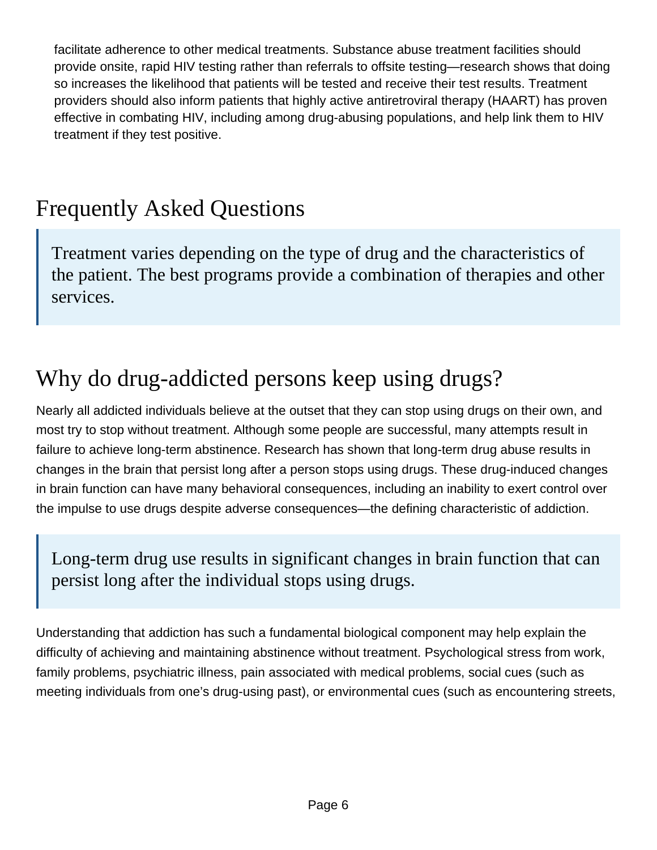facilitate adherence to other medical treatments. Substance abuse treatment facilities should provide onsite, rapid HIV testing rather than referrals to offsite testing—research shows that doing so increases the likelihood that patients will be tested and receive their test results. Treatment providers should also inform patients that highly active antiretroviral therapy (HAART) has proven effective in combating HIV, including among drug-abusing populations, and help link them to HIV treatment if they test positive.

# Frequently Asked Questions

Treatment varies depending on the type of drug and the characteristics of the patient. The best programs provide a combination of therapies and other services.

## Why do drug-addicted persons keep using drugs?

Nearly all addicted individuals believe at the outset that they can stop using drugs on their own, and most try to stop without treatment. Although some people are successful, many attempts result in failure to achieve long-term abstinence. Research has shown that long-term drug abuse results in changes in the brain that persist long after a person stops using drugs. These drug-induced changes in brain function can have many behavioral consequences, including an inability to exert control over the impulse to use drugs despite adverse consequences—the defining characteristic of addiction.

Long-term drug use results in significant changes in brain function that can persist long after the individual stops using drugs.

Understanding that addiction has such a fundamental biological component may help explain the difficulty of achieving and maintaining abstinence without treatment. Psychological stress from work, family problems, psychiatric illness, pain associated with medical problems, social cues (such as meeting individuals from one's drug-using past), or environmental cues (such as encountering streets,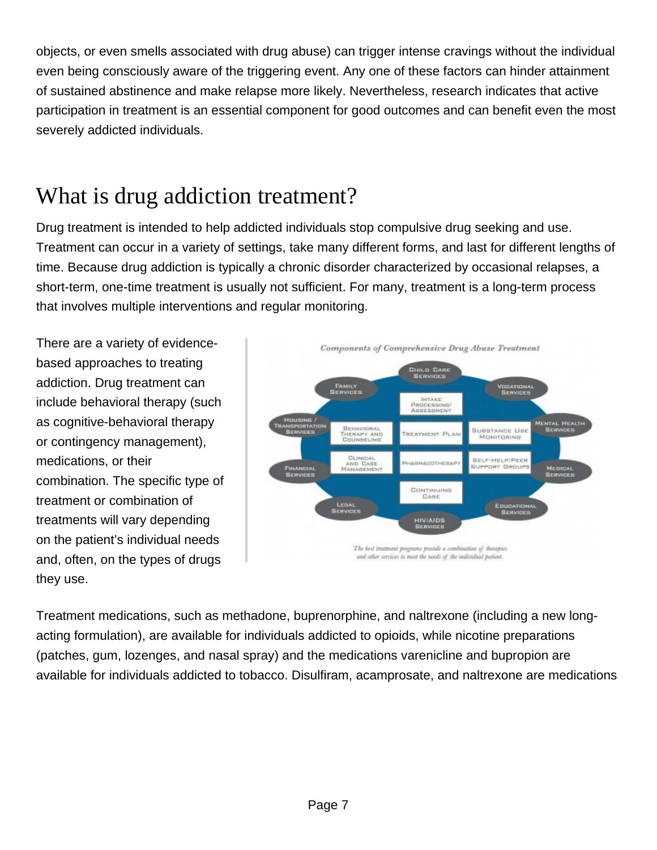objects, or even smells associated with drug abuse) can trigger intense cravings without the individual even being consciously aware of the triggering event. Any one of these factors can hinder attainment of sustained abstinence and make relapse more likely. Nevertheless, research indicates that active participation in treatment is an essential component for good outcomes and can benefit even the most severely addicted individuals.

# What is drug addiction treatment?

Drug treatment is intended to help addicted individuals stop compulsive drug seeking and use. Treatment can occur in a variety of settings, take many different forms, and last for different lengths of time. Because drug addiction is typically a chronic disorder characterized by occasional relapses, a short-term, one-time treatment is usually not sufficient. For many, treatment is a long-term process that involves multiple interventions and regular monitoring.

There are a variety of evidencebased approaches to treating addiction. Drug treatment can include behavioral therapy (such as cognitive-behavioral therapy or contingency management), medications, or their combination. The specific type of treatment or combination of treatments will vary depending on the patient's individual needs and, often, on the types of drugs they use.

Treatment medications, such as methadone, buprenorphine, and naltrexone (including a new longacting formulation), are available for individuals addicted to opioids, while nicotine preparations (patches, gum, lozenges, and nasal spray) and the medications varenicline and bupropion are available for individuals addicted to tobacco. Disulfiram, acamprosate, and naltrexone are medications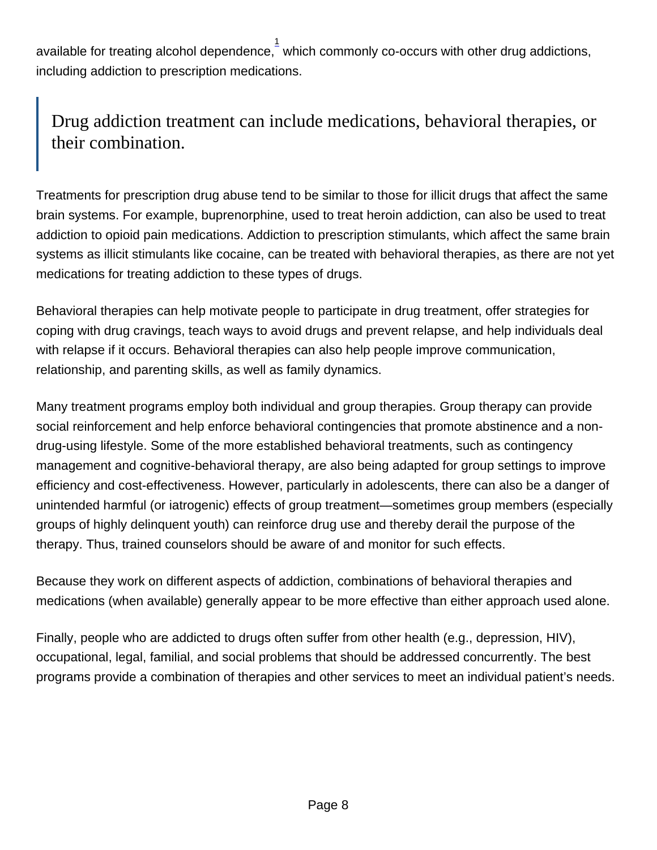available for treating alcohol dependence, $\frac{1}{\cdot}$  which commonly co-occurs with other drug addictions, including addiction to prescription medications.

#### Drug addiction treatment can include medications, behavioral therapies, or their combination.

Treatments for prescription drug abuse tend to be similar to those for illicit drugs that affect the same brain systems. For example, buprenorphine, used to treat heroin addiction, can also be used to treat addiction to opioid pain medications. Addiction to prescription stimulants, which affect the same brain systems as illicit stimulants like cocaine, can be treated with behavioral therapies, as there are not yet medications for treating addiction to these types of drugs.

Behavioral therapies can help motivate people to participate in drug treatment, offer strategies for coping with drug cravings, teach ways to avoid drugs and prevent relapse, and help individuals deal with relapse if it occurs. Behavioral therapies can also help people improve communication, relationship, and parenting skills, as well as family dynamics.

Many treatment programs employ both individual and group therapies. Group therapy can provide social reinforcement and help enforce behavioral contingencies that promote abstinence and a nondrug-using lifestyle. Some of the more established behavioral treatments, such as contingency management and cognitive-behavioral therapy, are also being adapted for group settings to improve efficiency and cost-effectiveness. However, particularly in adolescents, there can also be a danger of unintended harmful (or iatrogenic) effects of group treatment—sometimes group members (especially groups of highly delinquent youth) can reinforce drug use and thereby derail the purpose of the therapy. Thus, trained counselors should be aware of and monitor for such effects.

Because they work on different aspects of addiction, combinations of behavioral therapies and medications (when available) generally appear to be more effective than either approach used alone.

Finally, people who are addicted to drugs often suffer from other health (e.g., depression, HIV), occupational, legal, familial, and social problems that should be addressed concurrently. The best programs provide a combination of therapies and other services to meet an individual patient's needs.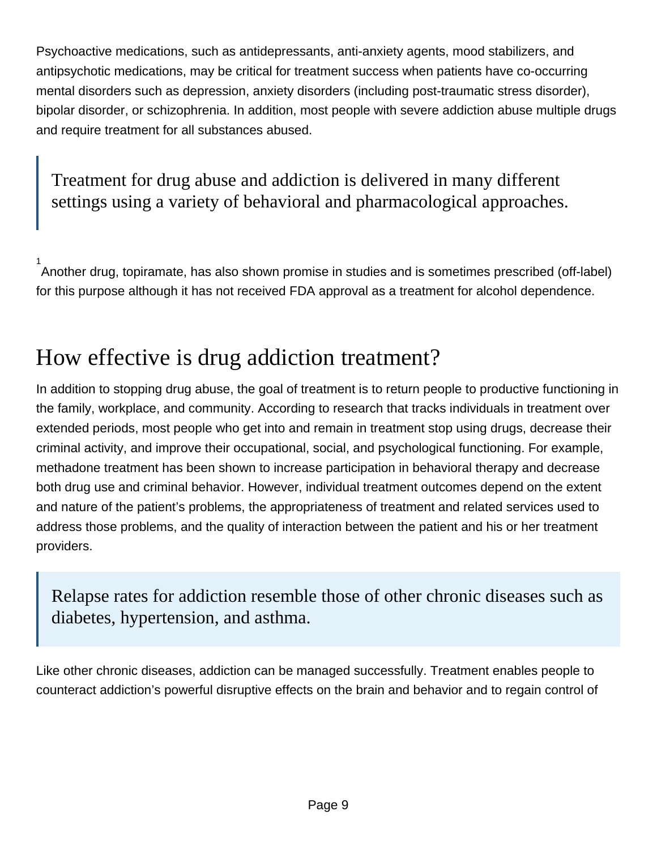Psychoactive medications, such as antidepressants, anti-anxiety agents, mood stabilizers, and antipsychotic medications, may be critical for treatment success when patients have co-occurring mental disorders such as depression, anxiety disorders (including post-traumatic stress disorder), bipolar disorder, or schizophrenia. In addition, most people with severe addiction abuse multiple drugs and require treatment for all substances abused.

Treatment for drug abuse and addiction is delivered in many different settings using a variety of behavioral and pharmacological approaches.

Another drug, topiramate, has also shown promise in studies and is sometimes prescribed (off-label) for this purpose although it has not received FDA approval as a treatment for alcohol dependence. 1

## How effective is drug addiction treatment?

In addition to stopping drug abuse, the goal of treatment is to return people to productive functioning in the family, workplace, and community. According to research that tracks individuals in treatment over extended periods, most people who get into and remain in treatment stop using drugs, decrease their criminal activity, and improve their occupational, social, and psychological functioning. For example, methadone treatment has been shown to increase participation in behavioral therapy and decrease both drug use and criminal behavior. However, individual treatment outcomes depend on the extent and nature of the patient's problems, the appropriateness of treatment and related services used to address those problems, and the quality of interaction between the patient and his or her treatment providers.

Relapse rates for addiction resemble those of other chronic diseases such as diabetes, hypertension, and asthma.

Like other chronic diseases, addiction can be managed successfully. Treatment enables people to counteract addiction's powerful disruptive effects on the brain and behavior and to regain control of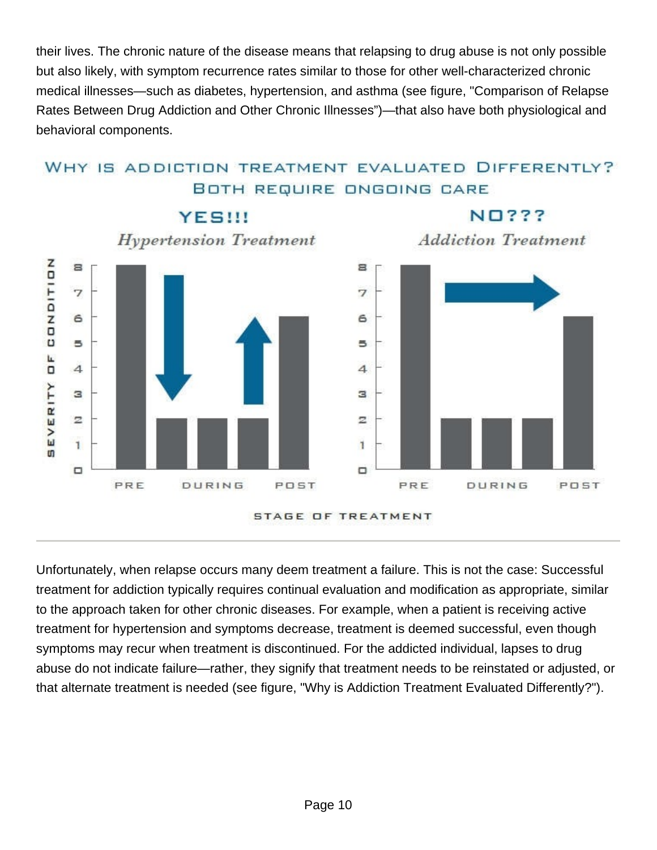their lives. The chronic nature of the disease means that relapsing to drug abuse is not only possible but also likely, with symptom recurrence rates similar to those for other well-characterized chronic medical illnesses—such as diabetes, hypertension, and asthma (see figure, "Comparison of Relapse Rates Between Drug Addiction and Other Chronic Illnesses")—that also have both physiological and behavioral components.

Unfortunately, when relapse occurs many deem treatment a failure. This is not the case: Successful treatment for addiction typically requires continual evaluation and modification as appropriate, similar to the approach taken for other chronic diseases. For example, when a patient is receiving active treatment for hypertension and symptoms decrease, treatment is deemed successful, even though symptoms may recur when treatment is discontinued. For the addicted individual, lapses to drug abuse do not indicate failure—rather, they signify that treatment needs to be reinstated or adjusted, or that alternate treatment is needed (see figure, "Why is Addiction Treatment Evaluated Differently?").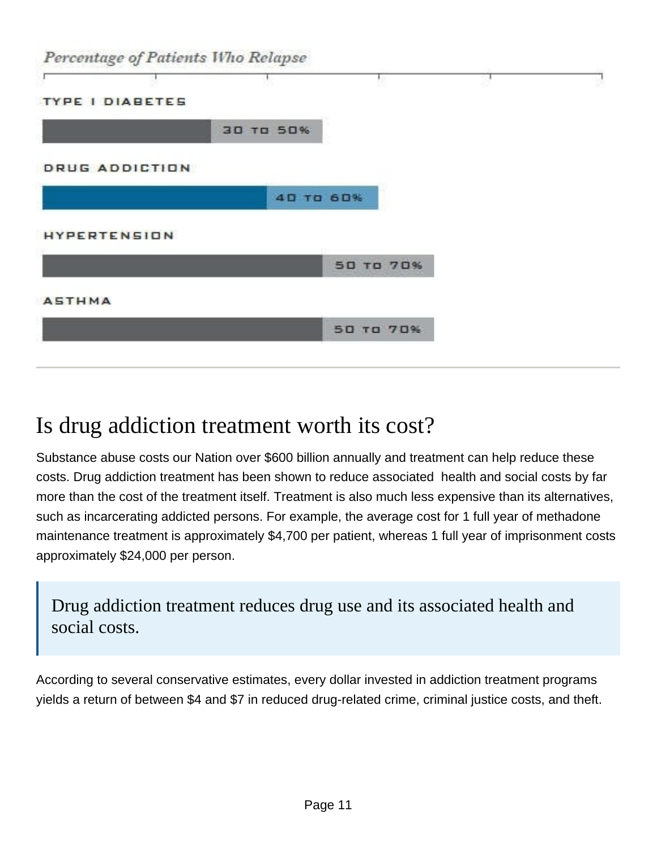# Is drug addiction treatment worth its cost?

Substance abuse costs our Nation over \$600 billion annually and treatment can help reduce these costs. Drug addiction treatment has been shown to reduce associated health and social costs by far more than the cost of the treatment itself. Treatment is also much less expensive than its alternatives, such as incarcerating addicted persons. For example, the average cost for 1 full year of methadone maintenance treatment is approximately \$4,700 per patient, whereas 1 full year of imprisonment costs approximately \$24,000 per person.

Drug addiction treatment reduces drug use and its associated health and social costs.

According to several conservative estimates, every dollar invested in addiction treatment programs yields a return of between \$4 and \$7 in reduced drug-related crime, criminal justice costs, and theft.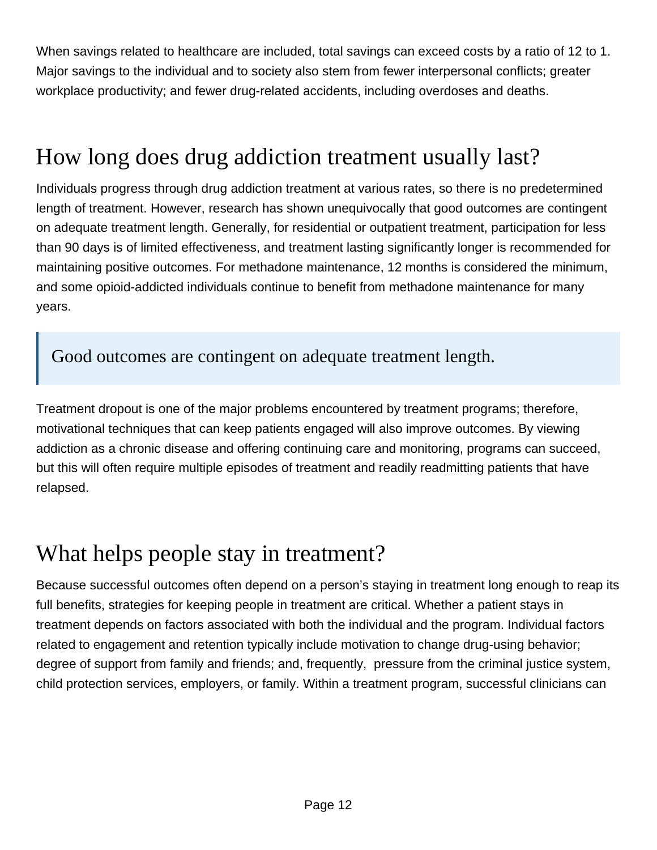When savings related to healthcare are included, total savings can exceed costs by a ratio of 12 to 1. Major savings to the individual and to society also stem from fewer interpersonal conflicts; greater workplace productivity; and fewer drug-related accidents, including overdoses and deaths.

## How long does drug addiction treatment usually last?

Individuals progress through drug addiction treatment at various rates, so there is no predetermined length of treatment. However, research has shown unequivocally that good outcomes are contingent on adequate treatment length. Generally, for residential or outpatient treatment, participation for less than 90 days is of limited effectiveness, and treatment lasting significantly longer is recommended for maintaining positive outcomes. For methadone maintenance, 12 months is considered the minimum, and some opioid-addicted individuals continue to benefit from methadone maintenance for many years.

Good outcomes are contingent on adequate treatment length.

Treatment dropout is one of the major problems encountered by treatment programs; therefore, motivational techniques that can keep patients engaged will also improve outcomes. By viewing addiction as a chronic disease and offering continuing care and monitoring, programs can succeed, but this will often require multiple episodes of treatment and readily readmitting patients that have relapsed.

### What helps people stay in treatment?

Because successful outcomes often depend on a person's staying in treatment long enough to reap its full benefits, strategies for keeping people in treatment are critical. Whether a patient stays in treatment depends on factors associated with both the individual and the program. Individual factors related to engagement and retention typically include motivation to change drug-using behavior; degree of support from family and friends; and, frequently, pressure from the criminal justice system, child protection services, employers, or family. Within a treatment program, successful clinicians can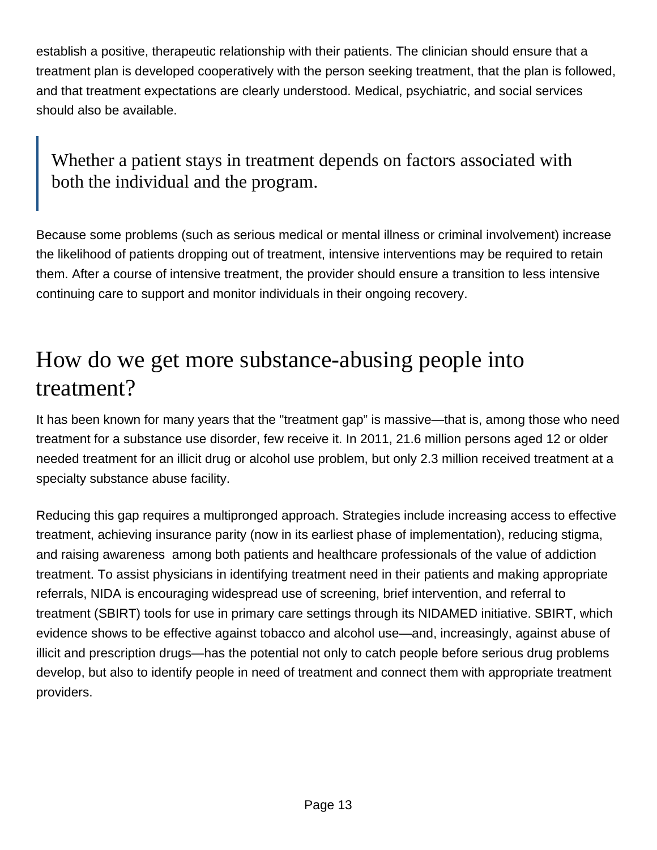establish a positive, therapeutic relationship with their patients. The clinician should ensure that a treatment plan is developed cooperatively with the person seeking treatment, that the plan is followed, and that treatment expectations are clearly understood. Medical, psychiatric, and social services should also be available.

Whether a patient stays in treatment depends on factors associated with both the individual and the program.

Because some problems (such as serious medical or mental illness or criminal involvement) increase the likelihood of patients dropping out of treatment, intensive interventions may be required to retain them. After a course of intensive treatment, the provider should ensure a transition to less intensive continuing care to support and monitor individuals in their ongoing recovery.

### How do we get more substance-abusing people into treatment?

It has been known for many years that the "treatment gap" is massive—that is, among those who need treatment for a substance use disorder, few receive it. In 2011, 21.6 million persons aged 12 or older needed treatment for an illicit drug or alcohol use problem, but only 2.3 million received treatment at a specialty substance abuse facility.

Reducing this gap requires a multipronged approach. Strategies include increasing access to effective treatment, achieving insurance parity (now in its earliest phase of implementation), reducing stigma, and raising awareness among both patients and healthcare professionals of the value of addiction treatment. To assist physicians in identifying treatment need in their patients and making appropriate referrals, NIDA is encouraging widespread use of screening, brief intervention, and referral to treatment (SBIRT) tools for use in primary care settings through its NIDAMED initiative. SBIRT, which evidence shows to be effective against tobacco and alcohol use—and, increasingly, against abuse of illicit and prescription drugs—has the potential not only to catch people before serious drug problems develop, but also to identify people in need of treatment and connect them with appropriate treatment providers.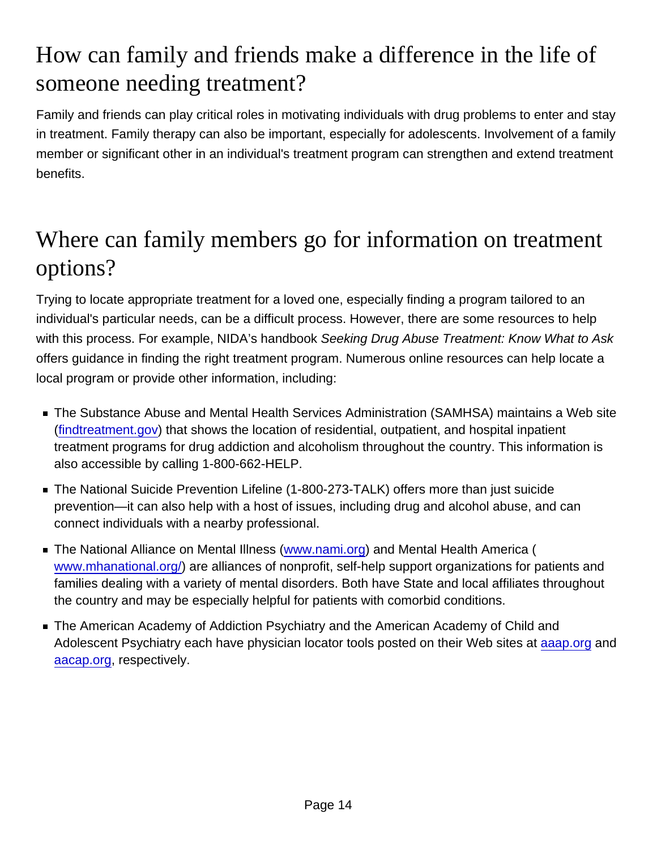# How can family and friends make a difference in the life of someone needing treatment?

Family and friends can play critical roles in motivating individuals with drug problems to enter and stay in treatment. Family therapy can also be important, especially for adolescents. Involvement of a family member or significant other in an individual's treatment program can strengthen and extend treatment benefits.

## Where can family members go for information on treatment options?

Trying to locate appropriate treatment for a loved one, especially finding a program tailored to an individual's particular needs, can be a difficult process. However, there are some resources to help with this process. For example, NIDA's handbook Seeking Drug Abuse Treatment: Know What to Ask offers guidance in finding the right treatment program. Numerous online resources can help locate a local program or provide other information, including:

- The Substance Abuse and Mental Health Services Administration (SAMHSA) maintains a Web site ([findtreatment.gov](https://findtreatment.gov)) that shows the location of residential, outpatient, and hospital inpatient treatment programs for drug addiction and alcoholism throughout the country. This information is also accessible by calling 1-800-662-HELP.
- The National Suicide Prevention Lifeline (1-800-273-TALK) offers more than just suicide prevention—it can also help with a host of issues, including drug and alcohol abuse, and can connect individuals with a nearby professional.
- The National Alliance on Mental Illness ([www.nami.org\)](http://www.nami.org/) and Mental Health America ( [www.mhanational.org/](https://www.mhanational.org/)) are alliances of nonprofit, self-help support organizations for patients and families dealing with a variety of mental disorders. Both have State and local affiliates throughout the country and may be especially helpful for patients with comorbid conditions.
- The American Academy of Addiction Psychiatry and the American Academy of Child and Adolescent Psychiatry each have physician locator tools posted on their Web sites at [aaap.org](http://www.aaap.org/) and [aacap.org,](http://www.aacap.org/) respectively.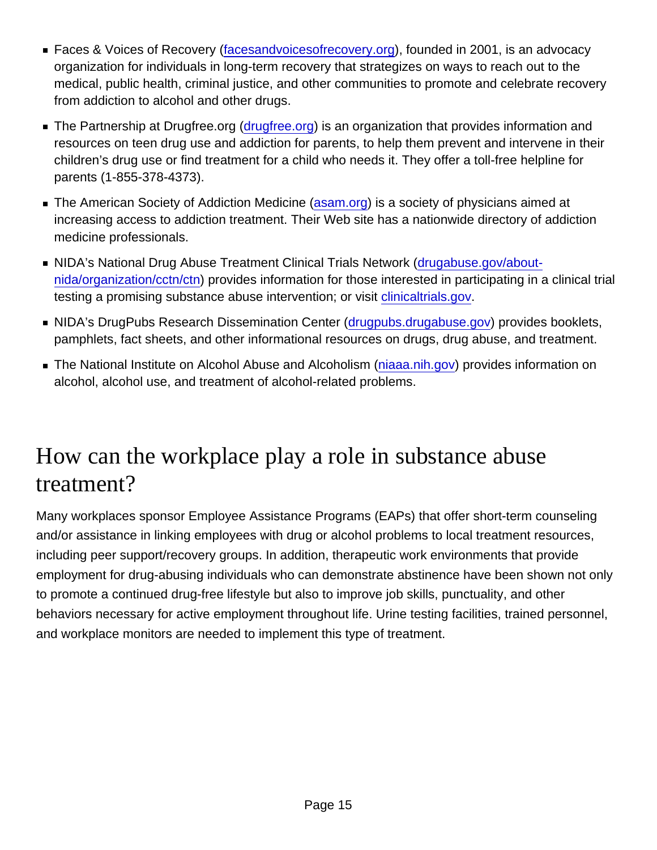- Faces & Voices of Recovery ([facesandvoicesofrecovery.org\)](http://facesandvoicesofrecovery.org), founded in 2001, is an advocacy organization for individuals in long-term recovery that strategizes on ways to reach out to the medical, public health, criminal justice, and other communities to promote and celebrate recovery from addiction to alcohol and other drugs.
- The Partnership at Drugfree.org [\(drugfree.org\)](http://drugfree.org) is an organization that provides information and resources on teen drug use and addiction for parents, to help them prevent and intervene in their children's drug use or find treatment for a child who needs it. They offer a toll-free helpline for parents (1-855-378-4373).
- The American Society of Addiction Medicine ([asam.org\)](http://www.asam.org/) is a society of physicians aimed at increasing access to addiction treatment. Their Web site has a nationwide directory of addiction medicine professionals.
- NIDA's National Drug Abuse Treatment Clinical Trials Network [\(drugabuse.gov/about](http://nida.nih.gov/about-nida/organization/cctn/ctn)[nida/organization/cctn/ctn\)](http://nida.nih.gov/about-nida/organization/cctn/ctn) provides information for those interested in participating in a clinical trial testing a promising substance abuse intervention; or visit [clinicaltrials.gov](http://clinicaltrials.gov).
- NIDA's DrugPubs Research Dissemination Center ([drugpubs.drugabuse.gov](https://drugpubs.drugabuse.gov)) provides booklets, pamphlets, fact sheets, and other informational resources on drugs, drug abuse, and treatment.
- The National Institute on Alcohol Abuse and Alcoholism ([niaaa.nih.gov](http://niaaa.nih.gov)) provides information on alcohol, alcohol use, and treatment of alcohol-related problems.

## How can the workplace play a role in substance abuse treatment?

Many workplaces sponsor Employee Assistance Programs (EAPs) that offer short-term counseling and/or assistance in linking employees with drug or alcohol problems to local treatment resources, including peer support/recovery groups. In addition, therapeutic work environments that provide employment for drug-abusing individuals who can demonstrate abstinence have been shown not only to promote a continued drug-free lifestyle but also to improve job skills, punctuality, and other behaviors necessary for active employment throughout life. Urine testing facilities, trained personnel, and workplace monitors are needed to implement this type of treatment.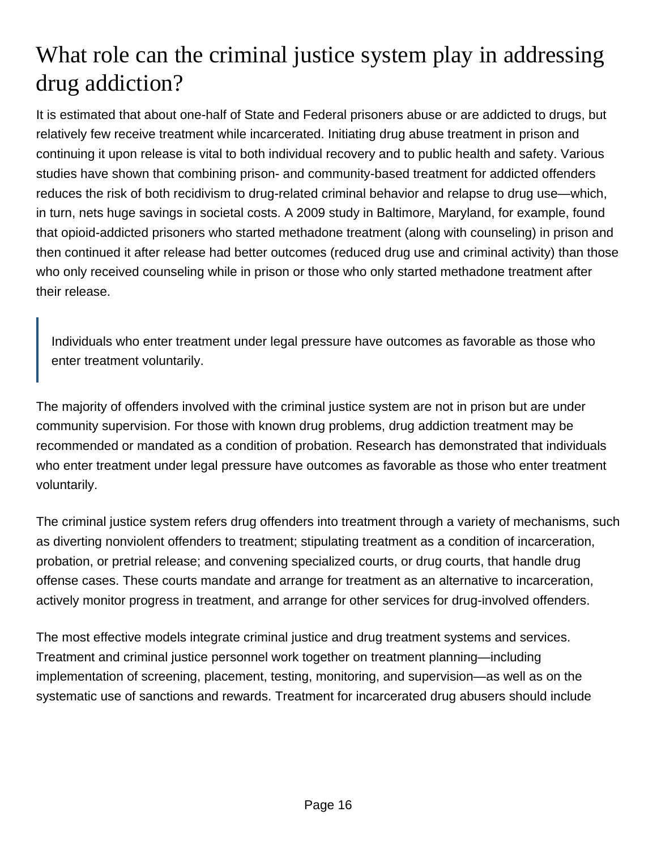# What role can the criminal justice system play in addressing drug addiction?

It is estimated that about one-half of State and Federal prisoners abuse or are addicted to drugs, but relatively few receive treatment while incarcerated. Initiating drug abuse treatment in prison and continuing it upon release is vital to both individual recovery and to public health and safety. Various studies have shown that combining prison- and community-based treatment for addicted offenders reduces the risk of both recidivism to drug-related criminal behavior and relapse to drug use—which, in turn, nets huge savings in societal costs. A 2009 study in Baltimore, Maryland, for example, found that opioid-addicted prisoners who started methadone treatment (along with counseling) in prison and then continued it after release had better outcomes (reduced drug use and criminal activity) than those who only received counseling while in prison or those who only started methadone treatment after their release.

Individuals who enter treatment under legal pressure have outcomes as favorable as those who enter treatment voluntarily.

The majority of offenders involved with the criminal justice system are not in prison but are under community supervision. For those with known drug problems, drug addiction treatment may be recommended or mandated as a condition of probation. Research has demonstrated that individuals who enter treatment under legal pressure have outcomes as favorable as those who enter treatment voluntarily.

The criminal justice system refers drug offenders into treatment through a variety of mechanisms, such as diverting nonviolent offenders to treatment; stipulating treatment as a condition of incarceration, probation, or pretrial release; and convening specialized courts, or drug courts, that handle drug offense cases. These courts mandate and arrange for treatment as an alternative to incarceration, actively monitor progress in treatment, and arrange for other services for drug-involved offenders.

The most effective models integrate criminal justice and drug treatment systems and services. Treatment and criminal justice personnel work together on treatment planning—including implementation of screening, placement, testing, monitoring, and supervision—as well as on the systematic use of sanctions and rewards. Treatment for incarcerated drug abusers should include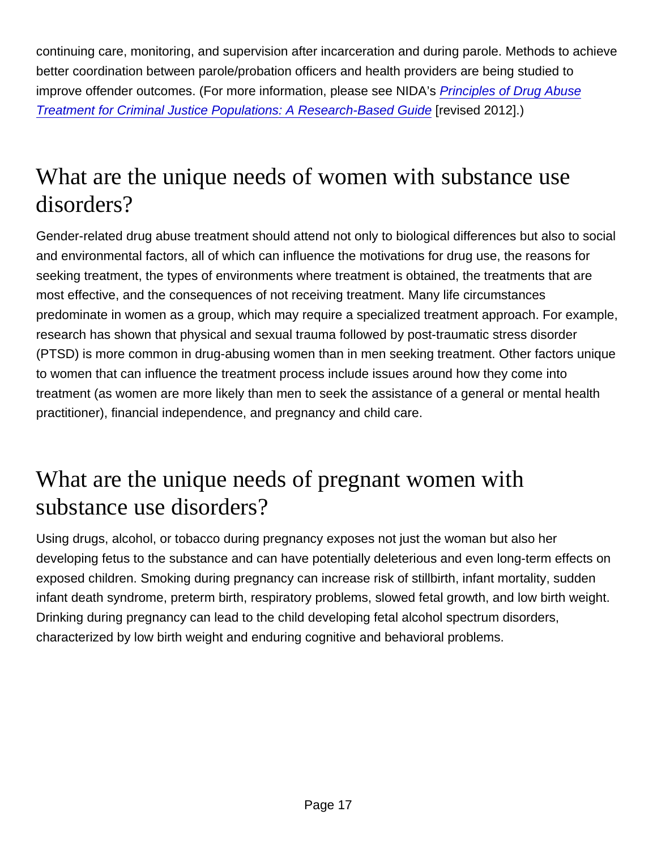continuing care, monitoring, and supervision after incarceration and during parole. Methods to achieve better coordination between parole/probation officers and health providers are being studied to improve offender outcomes. (For more information, please see NIDA's [Principles of Drug Abuse](http://nida.nih.gov/publications/principles-drug-abuse-treatment-criminal-justice-populations-research-based-guide) [Treatment for Criminal Justice Populations: A Research-Based Guide](http://nida.nih.gov/publications/principles-drug-abuse-treatment-criminal-justice-populations-research-based-guide) [revised 2012].)

# What are the unique needs of women with substance use disorders?

Gender-related drug abuse treatment should attend not only to biological differences but also to social and environmental factors, all of which can influence the motivations for drug use, the reasons for seeking treatment, the types of environments where treatment is obtained, the treatments that are most effective, and the consequences of not receiving treatment. Many life circumstances predominate in women as a group, which may require a specialized treatment approach. For example, research has shown that physical and sexual trauma followed by post-traumatic stress disorder (PTSD) is more common in drug-abusing women than in men seeking treatment. Other factors unique to women that can influence the treatment process include issues around how they come into treatment (as women are more likely than men to seek the assistance of a general or mental health practitioner), financial independence, and pregnancy and child care.

# What are the unique needs of pregnant women with substance use disorders?

Using drugs, alcohol, or tobacco during pregnancy exposes not just the woman but also her developing fetus to the substance and can have potentially deleterious and even long-term effects on exposed children. Smoking during pregnancy can increase risk of stillbirth, infant mortality, sudden infant death syndrome, preterm birth, respiratory problems, slowed fetal growth, and low birth weight. Drinking during pregnancy can lead to the child developing fetal alcohol spectrum disorders, characterized by low birth weight and enduring cognitive and behavioral problems.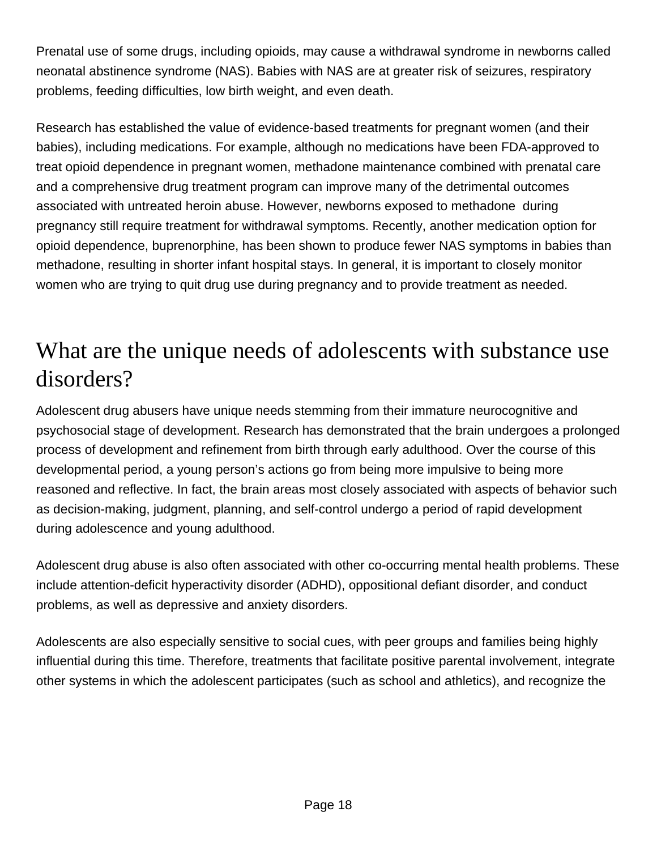Prenatal use of some drugs, including opioids, may cause a withdrawal syndrome in newborns called neonatal abstinence syndrome (NAS). Babies with NAS are at greater risk of seizures, respiratory problems, feeding difficulties, low birth weight, and even death.

Research has established the value of evidence-based treatments for pregnant women (and their babies), including medications. For example, although no medications have been FDA-approved to treat opioid dependence in pregnant women, methadone maintenance combined with prenatal care and a comprehensive drug treatment program can improve many of the detrimental outcomes associated with untreated heroin abuse. However, newborns exposed to methadone during pregnancy still require treatment for withdrawal symptoms. Recently, another medication option for opioid dependence, buprenorphine, has been shown to produce fewer NAS symptoms in babies than methadone, resulting in shorter infant hospital stays. In general, it is important to closely monitor women who are trying to quit drug use during pregnancy and to provide treatment as needed.

#### What are the unique needs of adolescents with substance use disorders?

Adolescent drug abusers have unique needs stemming from their immature neurocognitive and psychosocial stage of development. Research has demonstrated that the brain undergoes a prolonged process of development and refinement from birth through early adulthood. Over the course of this developmental period, a young person's actions go from being more impulsive to being more reasoned and reflective. In fact, the brain areas most closely associated with aspects of behavior such as decision-making, judgment, planning, and self-control undergo a period of rapid development during adolescence and young adulthood.

Adolescent drug abuse is also often associated with other co-occurring mental health problems. These include attention-deficit hyperactivity disorder (ADHD), oppositional defiant disorder, and conduct problems, as well as depressive and anxiety disorders.

Adolescents are also especially sensitive to social cues, with peer groups and families being highly influential during this time. Therefore, treatments that facilitate positive parental involvement, integrate other systems in which the adolescent participates (such as school and athletics), and recognize the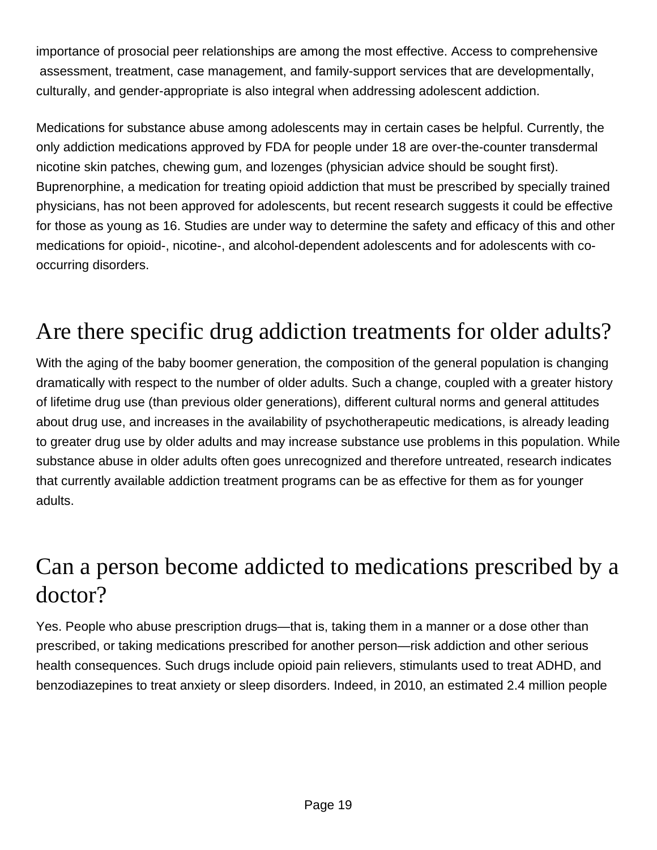importance of prosocial peer relationships are among the most effective. Access to comprehensive assessment, treatment, case management, and family-support services that are developmentally, culturally, and gender-appropriate is also integral when addressing adolescent addiction.

Medications for substance abuse among adolescents may in certain cases be helpful. Currently, the only addiction medications approved by FDA for people under 18 are over-the-counter transdermal nicotine skin patches, chewing gum, and lozenges (physician advice should be sought first). Buprenorphine, a medication for treating opioid addiction that must be prescribed by specially trained physicians, has not been approved for adolescents, but recent research suggests it could be effective for those as young as 16. Studies are under way to determine the safety and efficacy of this and other medications for opioid-, nicotine-, and alcohol-dependent adolescents and for adolescents with cooccurring disorders.

# Are there specific drug addiction treatments for older adults?

With the aging of the baby boomer generation, the composition of the general population is changing dramatically with respect to the number of older adults. Such a change, coupled with a greater history of lifetime drug use (than previous older generations), different cultural norms and general attitudes about drug use, and increases in the availability of psychotherapeutic medications, is already leading to greater drug use by older adults and may increase substance use problems in this population. While substance abuse in older adults often goes unrecognized and therefore untreated, research indicates that currently available addiction treatment programs can be as effective for them as for younger adults.

#### Can a person become addicted to medications prescribed by a doctor?

Yes. People who abuse prescription drugs—that is, taking them in a manner or a dose other than prescribed, or taking medications prescribed for another person—risk addiction and other serious health consequences. Such drugs include opioid pain relievers, stimulants used to treat ADHD, and benzodiazepines to treat anxiety or sleep disorders. Indeed, in 2010, an estimated 2.4 million people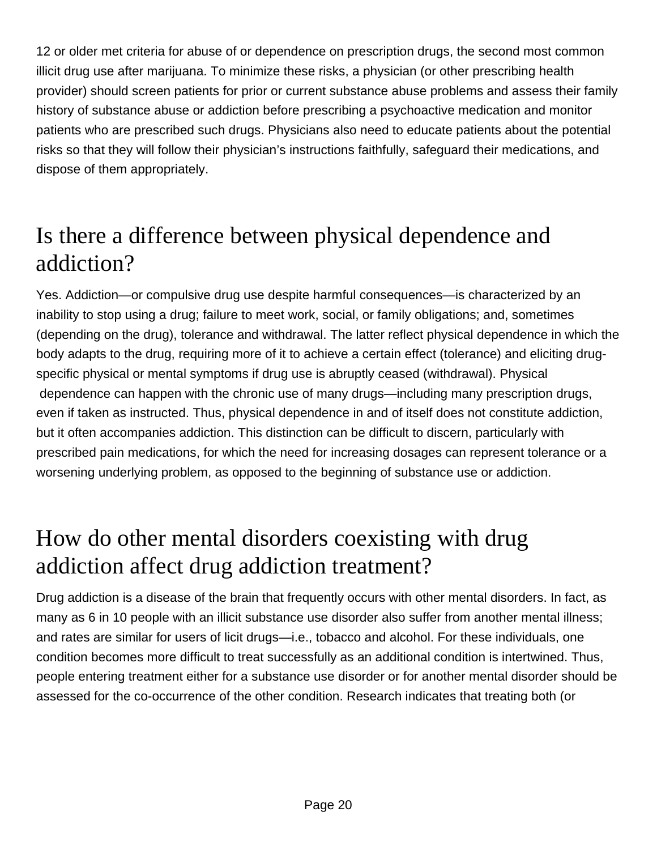12 or older met criteria for abuse of or dependence on prescription drugs, the second most common illicit drug use after marijuana. To minimize these risks, a physician (or other prescribing health provider) should screen patients for prior or current substance abuse problems and assess their family history of substance abuse or addiction before prescribing a psychoactive medication and monitor patients who are prescribed such drugs. Physicians also need to educate patients about the potential risks so that they will follow their physician's instructions faithfully, safeguard their medications, and dispose of them appropriately.

## Is there a difference between physical dependence and addiction?

Yes. Addiction—or compulsive drug use despite harmful consequences—is characterized by an inability to stop using a drug; failure to meet work, social, or family obligations; and, sometimes (depending on the drug), tolerance and withdrawal. The latter reflect physical dependence in which the body adapts to the drug, requiring more of it to achieve a certain effect (tolerance) and eliciting drugspecific physical or mental symptoms if drug use is abruptly ceased (withdrawal). Physical dependence can happen with the chronic use of many drugs—including many prescription drugs, even if taken as instructed. Thus, physical dependence in and of itself does not constitute addiction, but it often accompanies addiction. This distinction can be difficult to discern, particularly with prescribed pain medications, for which the need for increasing dosages can represent tolerance or a worsening underlying problem, as opposed to the beginning of substance use or addiction.

## How do other mental disorders coexisting with drug addiction affect drug addiction treatment?

Drug addiction is a disease of the brain that frequently occurs with other mental disorders. In fact, as many as 6 in 10 people with an illicit substance use disorder also suffer from another mental illness; and rates are similar for users of licit drugs—i.e., tobacco and alcohol. For these individuals, one condition becomes more difficult to treat successfully as an additional condition is intertwined. Thus, people entering treatment either for a substance use disorder or for another mental disorder should be assessed for the co-occurrence of the other condition. Research indicates that treating both (or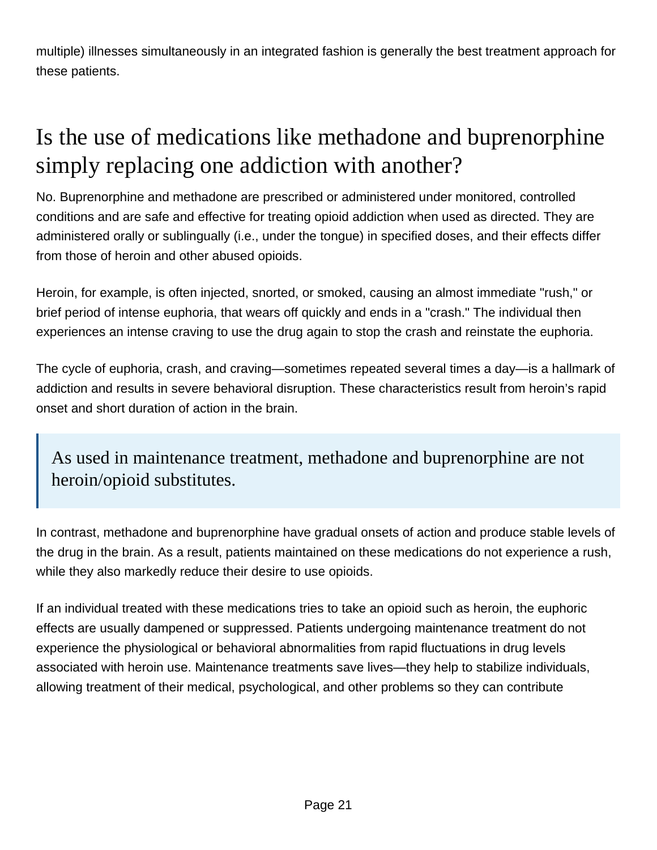multiple) illnesses simultaneously in an integrated fashion is generally the best treatment approach for these patients.

## Is the use of medications like methadone and buprenorphine simply replacing one addiction with another?

No. Buprenorphine and methadone are prescribed or administered under monitored, controlled conditions and are safe and effective for treating opioid addiction when used as directed. They are administered orally or sublingually (i.e., under the tongue) in specified doses, and their effects differ from those of heroin and other abused opioids.

Heroin, for example, is often injected, snorted, or smoked, causing an almost immediate "rush," or brief period of intense euphoria, that wears off quickly and ends in a "crash." The individual then experiences an intense craving to use the drug again to stop the crash and reinstate the euphoria.

The cycle of euphoria, crash, and craving—sometimes repeated several times a day—is a hallmark of addiction and results in severe behavioral disruption. These characteristics result from heroin's rapid onset and short duration of action in the brain.

As used in maintenance treatment, methadone and buprenorphine are not heroin/opioid substitutes.

In contrast, methadone and buprenorphine have gradual onsets of action and produce stable levels of the drug in the brain. As a result, patients maintained on these medications do not experience a rush, while they also markedly reduce their desire to use opioids.

If an individual treated with these medications tries to take an opioid such as heroin, the euphoric effects are usually dampened or suppressed. Patients undergoing maintenance treatment do not experience the physiological or behavioral abnormalities from rapid fluctuations in drug levels associated with heroin use. Maintenance treatments save lives—they help to stabilize individuals, allowing treatment of their medical, psychological, and other problems so they can contribute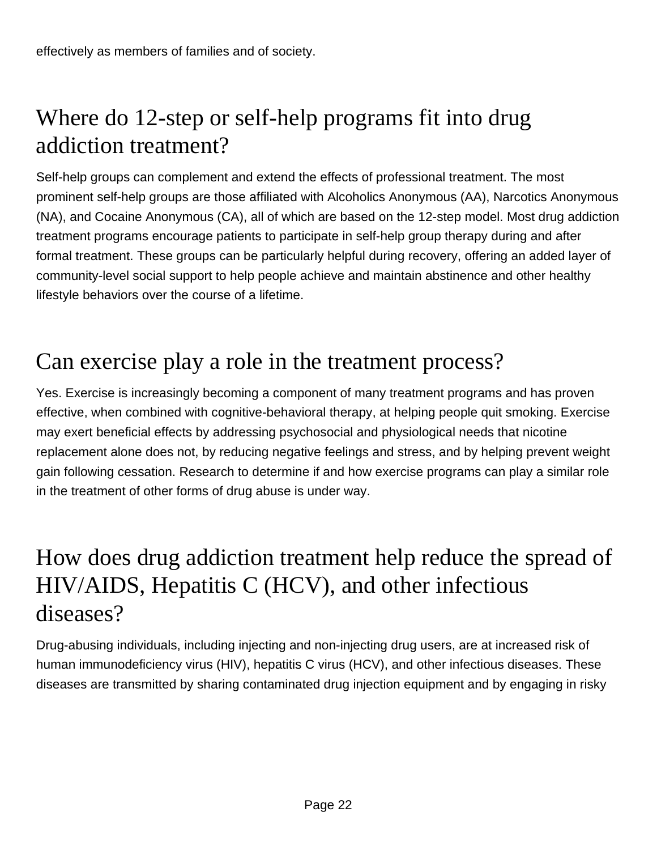## Where do 12-step or self-help programs fit into drug addiction treatment?

Self-help groups can complement and extend the effects of professional treatment. The most prominent self-help groups are those affiliated with Alcoholics Anonymous (AA), Narcotics Anonymous (NA), and Cocaine Anonymous (CA), all of which are based on the 12-step model. Most drug addiction treatment programs encourage patients to participate in self-help group therapy during and after formal treatment. These groups can be particularly helpful during recovery, offering an added layer of community-level social support to help people achieve and maintain abstinence and other healthy lifestyle behaviors over the course of a lifetime.

#### Can exercise play a role in the treatment process?

Yes. Exercise is increasingly becoming a component of many treatment programs and has proven effective, when combined with cognitive-behavioral therapy, at helping people quit smoking. Exercise may exert beneficial effects by addressing psychosocial and physiological needs that nicotine replacement alone does not, by reducing negative feelings and stress, and by helping prevent weight gain following cessation. Research to determine if and how exercise programs can play a similar role in the treatment of other forms of drug abuse is under way.

## How does drug addiction treatment help reduce the spread of HIV/AIDS, Hepatitis C (HCV), and other infectious diseases?

Drug-abusing individuals, including injecting and non-injecting drug users, are at increased risk of human immunodeficiency virus (HIV), hepatitis C virus (HCV), and other infectious diseases. These diseases are transmitted by sharing contaminated drug injection equipment and by engaging in risky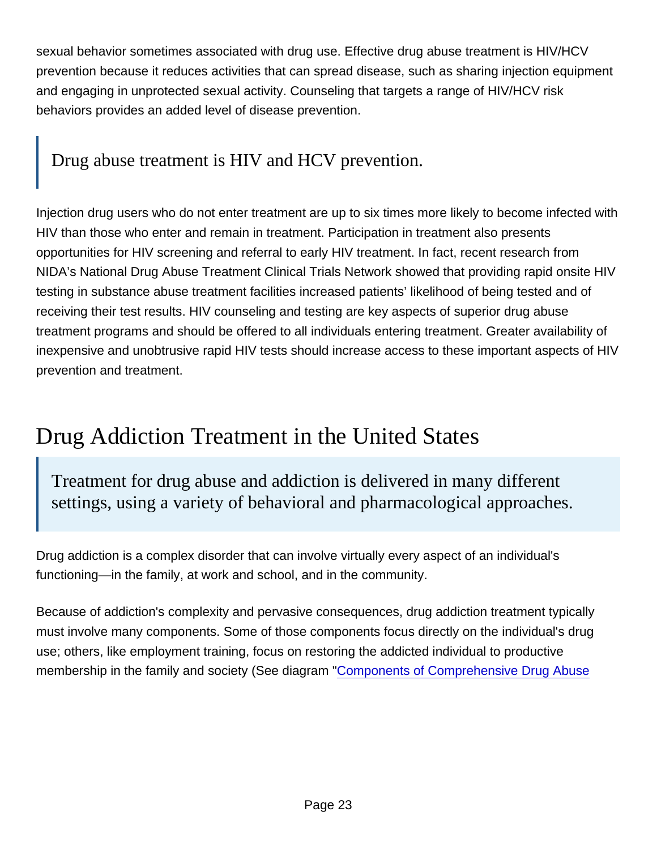sexual behavior sometimes associated with drug use. Effective drug abuse treatment is HIV/HCV prevention because it reduces activities that can spread disease, such as sharing injection equipment and engaging in unprotected sexual activity. Counseling that targets a range of HIV/HCV risk behaviors provides an added level of disease prevention.

#### Drug abuse treatment is HIV and HCV prevention.

Injection drug users who do not enter treatment are up to six times more likely to become infected with HIV than those who enter and remain in treatment. Participation in treatment also presents opportunities for HIV screening and referral to early HIV treatment. In fact, recent research from NIDA's National Drug Abuse Treatment Clinical Trials Network showed that providing rapid onsite HIV testing in substance abuse treatment facilities increased patients' likelihood of being tested and of receiving their test results. HIV counseling and testing are key aspects of superior drug abuse treatment programs and should be offered to all individuals entering treatment. Greater availability of inexpensive and unobtrusive rapid HIV tests should increase access to these important aspects of HIV prevention and treatment.

## Drug Addiction Treatment in the United States

Treatment for drug abuse and addiction is delivered in many different settings, using a variety of behavioral and pharmacological approaches.

Drug addiction is a complex disorder that can involve virtually every aspect of an individual's functioning—in the family, at work and school, and in the community.

Because of addiction's complexity and pervasive consequences, drug addiction treatment typically must involve many components. Some of those components focus directly on the individual's drug use; others, like employment training, focus on restoring the addicted individual to productive membership in the family and society (See diagram ["Components of Comprehensive Drug Abuse](http://nida.nih.gov/publications/principles-drug-addiction-treatment-research-based-guide-third-edition/frequently-asked-questions/what-drug-addiction-treatment)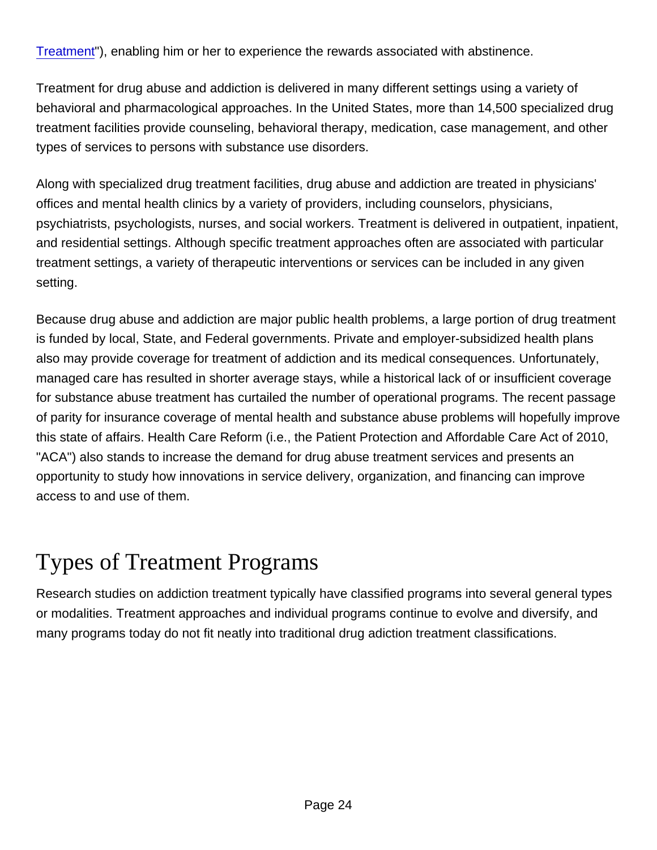[Treatment](http://nida.nih.gov/publications/principles-drug-addiction-treatment-research-based-guide-third-edition/frequently-asked-questions/what-drug-addiction-treatment)"), enabling him or her to experience the rewards associated with abstinence.

Treatment for drug abuse and addiction is delivered in many different settings using a variety of behavioral and pharmacological approaches. In the United States, more than 14,500 specialized drug treatment facilities provide counseling, behavioral therapy, medication, case management, and other types of services to persons with substance use disorders.

Along with specialized drug treatment facilities, drug abuse and addiction are treated in physicians' offices and mental health clinics by a variety of providers, including counselors, physicians, psychiatrists, psychologists, nurses, and social workers. Treatment is delivered in outpatient, inpatient, and residential settings. Although specific treatment approaches often are associated with particular treatment settings, a variety of therapeutic interventions or services can be included in any given setting.

Because drug abuse and addiction are major public health problems, a large portion of drug treatment is funded by local, State, and Federal governments. Private and employer-subsidized health plans also may provide coverage for treatment of addiction and its medical consequences. Unfortunately, managed care has resulted in shorter average stays, while a historical lack of or insufficient coverage for substance abuse treatment has curtailed the number of operational programs. The recent passage of parity for insurance coverage of mental health and substance abuse problems will hopefully improve this state of affairs. Health Care Reform (i.e., the Patient Protection and Affordable Care Act of 2010, "ACA") also stands to increase the demand for drug abuse treatment services and presents an opportunity to study how innovations in service delivery, organization, and financing can improve access to and use of them.

# Types of Treatment Programs

Research studies on addiction treatment typically have classified programs into several general types or modalities. Treatment approaches and individual programs continue to evolve and diversify, and many programs today do not fit neatly into traditional drug adiction treatment classifications.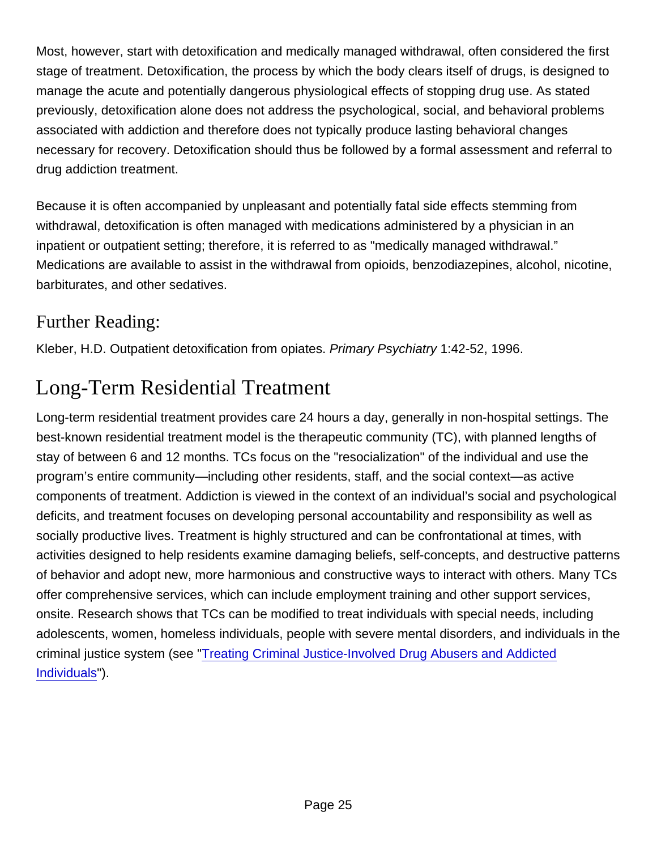Most, however, start with detoxification and medically managed withdrawal, often considered the first stage of treatment. Detoxification, the process by which the body clears itself of drugs, is designed to manage the acute and potentially dangerous physiological effects of stopping drug use. As stated previously, detoxification alone does not address the psychological, social, and behavioral problems associated with addiction and therefore does not typically produce lasting behavioral changes necessary for recovery. Detoxification should thus be followed by a formal assessment and referral to drug addiction treatment.

Because it is often accompanied by unpleasant and potentially fatal side effects stemming from withdrawal, detoxification is often managed with medications administered by a physician in an inpatient or outpatient setting; therefore, it is referred to as "medically managed withdrawal." Medications are available to assist in the withdrawal from opioids, benzodiazepines, alcohol, nicotine, barbiturates, and other sedatives.

#### Further Reading:

Kleber, H.D. Outpatient detoxification from opiates. Primary Psychiatry 1:42-52, 1996.

## Long-Term Residential Treatment

Long-term residential treatment provides care 24 hours a day, generally in non-hospital settings. The best-known residential treatment model is the therapeutic community (TC), with planned lengths of stay of between 6 and 12 months. TCs focus on the "resocialization" of the individual and use the program's entire community—including other residents, staff, and the social context—as active components of treatment. Addiction is viewed in the context of an individual's social and psychological deficits, and treatment focuses on developing personal accountability and responsibility as well as socially productive lives. Treatment is highly structured and can be confrontational at times, with activities designed to help residents examine damaging beliefs, self-concepts, and destructive patterns of behavior and adopt new, more harmonious and constructive ways to interact with others. Many TCs offer comprehensive services, which can include employment training and other support services, onsite. Research shows that TCs can be modified to treat individuals with special needs, including adolescents, women, homeless individuals, people with severe mental disorders, and individuals in the criminal justice system (see ["Treating Criminal Justice-Involved Drug Abusers and Addicted](http://nida.nih.gov/publications/principles-drug-addiction-treatment-research-based-guide-third-edition/drug-addiction-treatment-in-united-states/treating-criminal-justice) [Individuals](http://nida.nih.gov/publications/principles-drug-addiction-treatment-research-based-guide-third-edition/drug-addiction-treatment-in-united-states/treating-criminal-justice)").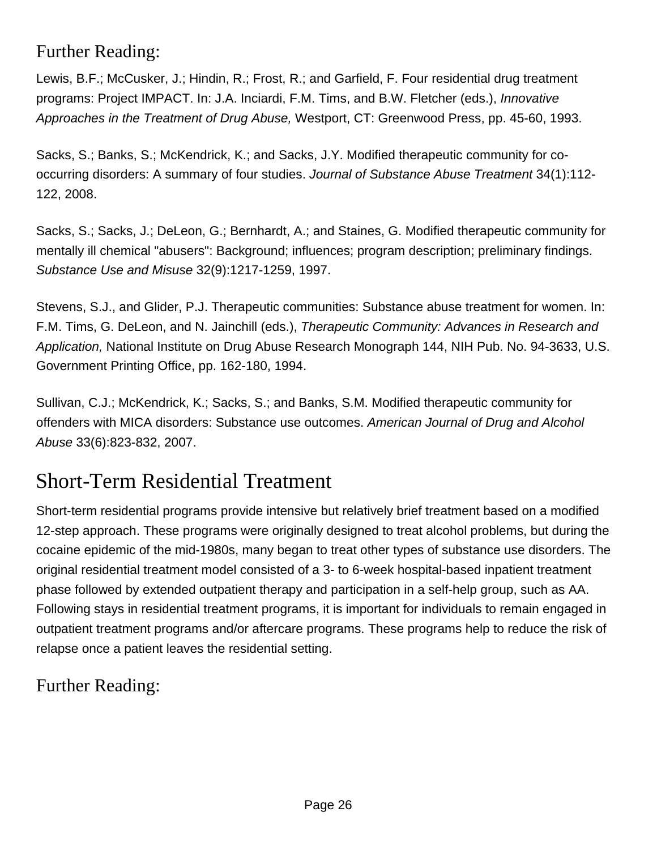#### Further Reading:

Lewis, B.F.; McCusker, J.; Hindin, R.; Frost, R.; and Garfield, F. Four residential drug treatment programs: Project IMPACT. In: J.A. Inciardi, F.M. Tims, and B.W. Fletcher (eds.), Innovative Approaches in the Treatment of Drug Abuse, Westport, CT: Greenwood Press, pp. 45-60, 1993.

Sacks, S.; Banks, S.; McKendrick, K.; and Sacks, J.Y. Modified therapeutic community for cooccurring disorders: A summary of four studies. Journal of Substance Abuse Treatment 34(1):112- 122, 2008.

Sacks, S.; Sacks, J.; DeLeon, G.; Bernhardt, A.; and Staines, G. Modified therapeutic community for mentally ill chemical "abusers": Background; influences; program description; preliminary findings. Substance Use and Misuse 32(9):1217-1259, 1997.

Stevens, S.J., and Glider, P.J. Therapeutic communities: Substance abuse treatment for women. In: F.M. Tims, G. DeLeon, and N. Jainchill (eds.), Therapeutic Community: Advances in Research and Application, National Institute on Drug Abuse Research Monograph 144, NIH Pub. No. 94-3633, U.S. Government Printing Office, pp. 162-180, 1994.

Sullivan, C.J.; McKendrick, K.; Sacks, S.; and Banks, S.M. Modified therapeutic community for offenders with MICA disorders: Substance use outcomes. American Journal of Drug and Alcohol Abuse 33(6):823-832, 2007.

#### Short-Term Residential Treatment

Short-term residential programs provide intensive but relatively brief treatment based on a modified 12-step approach. These programs were originally designed to treat alcohol problems, but during the cocaine epidemic of the mid-1980s, many began to treat other types of substance use disorders. The original residential treatment model consisted of a 3- to 6-week hospital-based inpatient treatment phase followed by extended outpatient therapy and participation in a self-help group, such as AA. Following stays in residential treatment programs, it is important for individuals to remain engaged in outpatient treatment programs and/or aftercare programs. These programs help to reduce the risk of relapse once a patient leaves the residential setting.

Further Reading: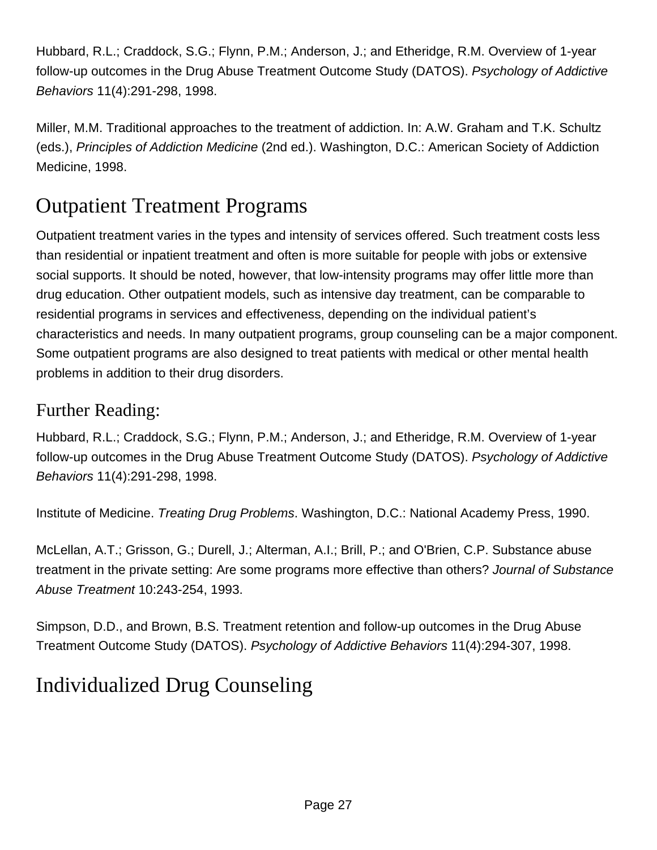Hubbard, R.L.; Craddock, S.G.; Flynn, P.M.; Anderson, J.; and Etheridge, R.M. Overview of 1-year follow-up outcomes in the Drug Abuse Treatment Outcome Study (DATOS). Psychology of Addictive Behaviors 11(4):291-298, 1998.

Miller, M.M. Traditional approaches to the treatment of addiction. In: A.W. Graham and T.K. Schultz (eds.), Principles of Addiction Medicine (2nd ed.). Washington, D.C.: American Society of Addiction Medicine, 1998.

#### Outpatient Treatment Programs

Outpatient treatment varies in the types and intensity of services offered. Such treatment costs less than residential or inpatient treatment and often is more suitable for people with jobs or extensive social supports. It should be noted, however, that low-intensity programs may offer little more than drug education. Other outpatient models, such as intensive day treatment, can be comparable to residential programs in services and effectiveness, depending on the individual patient's characteristics and needs. In many outpatient programs, group counseling can be a major component. Some outpatient programs are also designed to treat patients with medical or other mental health problems in addition to their drug disorders.

#### Further Reading:

Hubbard, R.L.; Craddock, S.G.; Flynn, P.M.; Anderson, J.; and Etheridge, R.M. Overview of 1-year follow-up outcomes in the Drug Abuse Treatment Outcome Study (DATOS). Psychology of Addictive Behaviors 11(4):291-298, 1998.

Institute of Medicine. Treating Drug Problems. Washington, D.C.: National Academy Press, 1990.

McLellan, A.T.; Grisson, G.; Durell, J.; Alterman, A.I.; Brill, P.; and O'Brien, C.P. Substance abuse treatment in the private setting: Are some programs more effective than others? Journal of Substance Abuse Treatment 10:243-254, 1993.

Simpson, D.D., and Brown, B.S. Treatment retention and follow-up outcomes in the Drug Abuse Treatment Outcome Study (DATOS). Psychology of Addictive Behaviors 11(4):294-307, 1998.

#### Individualized Drug Counseling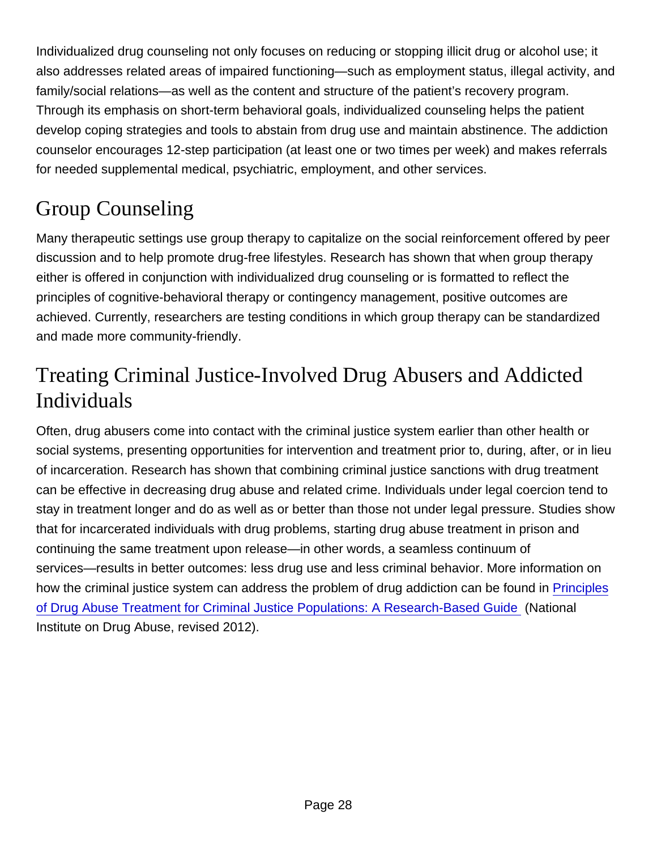Individualized drug counseling not only focuses on reducing or stopping illicit drug or alcohol use; it also addresses related areas of impaired functioning—such as employment status, illegal activity, and family/social relations—as well as the content and structure of the patient's recovery program. Through its emphasis on short-term behavioral goals, individualized counseling helps the patient develop coping strategies and tools to abstain from drug use and maintain abstinence. The addiction counselor encourages 12-step participation (at least one or two times per week) and makes referrals for needed supplemental medical, psychiatric, employment, and other services.

# Group Counseling

Many therapeutic settings use group therapy to capitalize on the social reinforcement offered by peer discussion and to help promote drug-free lifestyles. Research has shown that when group therapy either is offered in conjunction with individualized drug counseling or is formatted to reflect the principles of cognitive-behavioral therapy or contingency management, positive outcomes are achieved. Currently, researchers are testing conditions in which group therapy can be standardized and made more community-friendly.

## Treating Criminal Justice-Involved Drug Abusers and Addicted Individuals

Often, drug abusers come into contact with the criminal justice system earlier than other health or social systems, presenting opportunities for intervention and treatment prior to, during, after, or in lieu of incarceration. Research has shown that combining criminal justice sanctions with drug treatment can be effective in decreasing drug abuse and related crime. Individuals under legal coercion tend to stay in treatment longer and do as well as or better than those not under legal pressure. Studies show that for incarcerated individuals with drug problems, starting drug abuse treatment in prison and continuing the same treatment upon release—in other words, a seamless continuum of services—results in better outcomes: less drug use and less criminal behavior. More information on how the criminal justice system can address the problem of drug addiction can be found in [Principles](http://nida.nih.gov/publications/principles-drug-abuse-treatment-criminal-justice-populations) [of Drug Abuse Treatment for Criminal Justice Populations: A Research-Based Guide](http://nida.nih.gov/publications/principles-drug-abuse-treatment-criminal-justice-populations) (National Institute on Drug Abuse, revised 2012).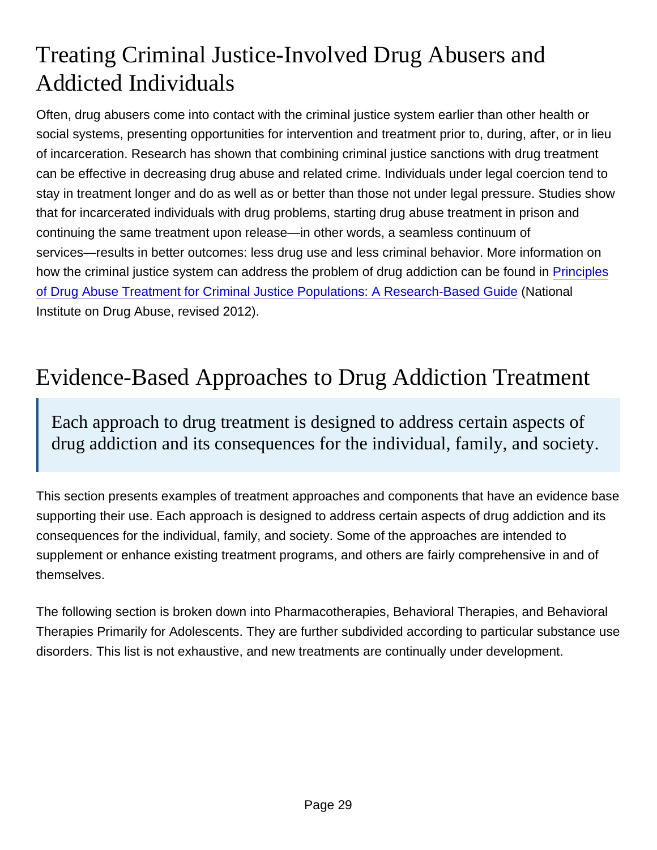# Treating Criminal Justice-Involved Drug Abusers and Addicted Individuals

Often, drug abusers come into contact with the criminal justice system earlier than other health or social systems, presenting opportunities for intervention and treatment prior to, during, after, or in lieu of incarceration. Research has shown that combining criminal justice sanctions with drug treatment can be effective in decreasing drug abuse and related crime. Individuals under legal coercion tend to stay in treatment longer and do as well as or better than those not under legal pressure. Studies show that for incarcerated individuals with drug problems, starting drug abuse treatment in prison and continuing the same treatment upon release—in other words, a seamless continuum of services—results in better outcomes: less drug use and less criminal behavior. More information on how the criminal justice system can address the problem of drug addiction can be found in [Principles](http://nida.nih.gov/publications/principles-drug-abuse-treatment-criminal-justice-populations-research-based-guide) [of Drug Abuse Treatment for Criminal Justice Populations: A Research-Based Guide](http://nida.nih.gov/publications/principles-drug-abuse-treatment-criminal-justice-populations-research-based-guide) (National Institute on Drug Abuse, revised 2012).

# Evidence-Based Approaches to Drug Addiction Treatment

Each approach to drug treatment is designed to address certain aspects of drug addiction and its consequences for the individual, family, and society.

This section presents examples of treatment approaches and components that have an evidence base supporting their use. Each approach is designed to address certain aspects of drug addiction and its consequences for the individual, family, and society. Some of the approaches are intended to supplement or enhance existing treatment programs, and others are fairly comprehensive in and of themselves.

The following section is broken down into Pharmacotherapies, Behavioral Therapies, and Behavioral Therapies Primarily for Adolescents. They are further subdivided according to particular substance use disorders. This list is not exhaustive, and new treatments are continually under development.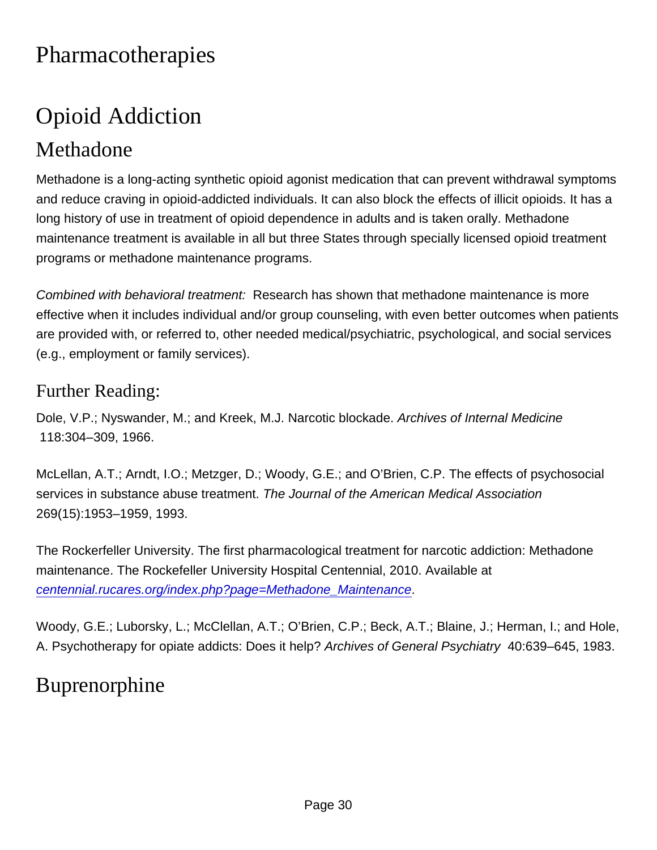# Pharmacotherapies

# Opioid Addiction Methadone

Methadone is a long-acting synthetic opioid agonist medication that can prevent withdrawal symptoms and reduce craving in opioid-addicted individuals. It can also block the effects of illicit opioids. It has a long history of use in treatment of opioid dependence in adults and is taken orally. Methadone maintenance treatment is available in all but three States through specially licensed opioid treatment programs or methadone maintenance programs.

Combined with behavioral treatment: Research has shown that methadone maintenance is more effective when it includes individual and/or group counseling, with even better outcomes when patients are provided with, or referred to, other needed medical/psychiatric, psychological, and social services (e.g., employment or family services).

#### Further Reading:

Dole, V.P.; Nyswander, M.; and Kreek, M.J. Narcotic blockade. Archives of Internal Medicine 118:304–309, 1966.

McLellan, A.T.; Arndt, I.O.; Metzger, D.; Woody, G.E.; and O'Brien, C.P. The effects of psychosocial services in substance abuse treatment. The Journal of the American Medical Association 269(15):1953–1959, 1993.

The Rockerfeller University. The first pharmacological treatment for narcotic addiction: Methadone maintenance. The Rockefeller University Hospital Centennial, 2010. Available at [centennial.rucares.org/index.php?page=Methadone\\_Maintenance.](http://centennial.rucares.org/index.php?page=Methadone_Maintenance)

Woody, G.E.; Luborsky, L.; McClellan, A.T.; O'Brien, C.P.; Beck, A.T.; Blaine, J.; Herman, I.; and Hole, A. Psychotherapy for opiate addicts: Does it help? Archives of General Psychiatry 40:639–645, 1983.

### **Buprenorphine**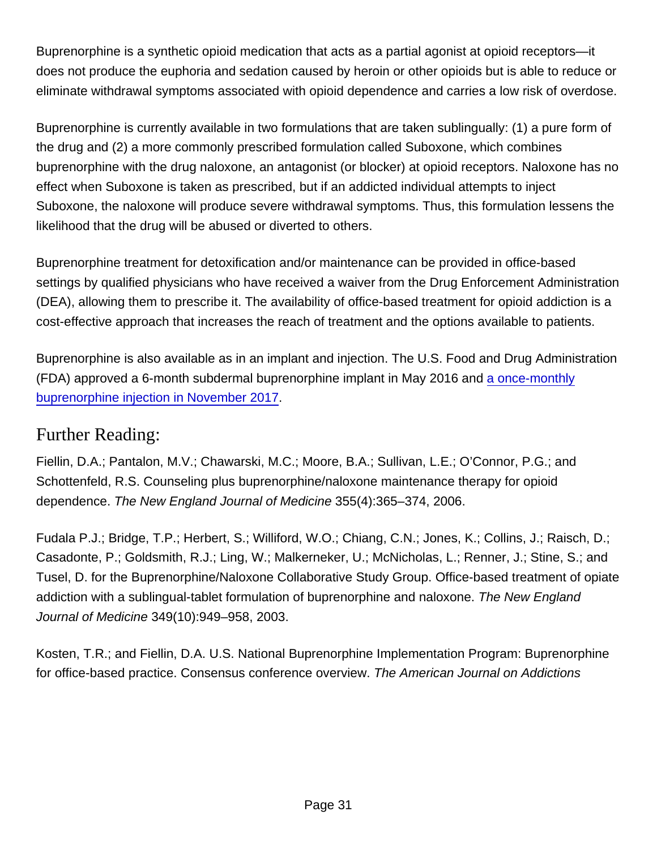Buprenorphine is a synthetic opioid medication that acts as a partial agonist at opioid receptors—it does not produce the euphoria and sedation caused by heroin or other opioids but is able to reduce or eliminate withdrawal symptoms associated with opioid dependence and carries a low risk of overdose.

Buprenorphine is currently available in two formulations that are taken sublingually: (1) a pure form of the drug and (2) a more commonly prescribed formulation called Suboxone, which combines buprenorphine with the drug naloxone, an antagonist (or blocker) at opioid receptors. Naloxone has no effect when Suboxone is taken as prescribed, but if an addicted individual attempts to inject Suboxone, the naloxone will produce severe withdrawal symptoms. Thus, this formulation lessens the likelihood that the drug will be abused or diverted to others.

Buprenorphine treatment for detoxification and/or maintenance can be provided in office-based settings by qualified physicians who have received a waiver from the Drug Enforcement Administration (DEA), allowing them to prescribe it. The availability of office-based treatment for opioid addiction is a cost-effective approach that increases the reach of treatment and the options available to patients.

Buprenorphine is also available as in an implant and injection. The U.S. Food and Drug Administration (FDA) approved a 6-month subdermal buprenorphine implant in May 2016 and [a once-monthly](https://www.fda.gov/NewsEvents/Newsroom/PressAnnouncements/ucm587312.htm) [buprenorphine injection in November 2017.](https://www.fda.gov/NewsEvents/Newsroom/PressAnnouncements/ucm587312.htm)

#### Further Reading:

Fiellin, D.A.; Pantalon, M.V.; Chawarski, M.C.; Moore, B.A.; Sullivan, L.E.; O'Connor, P.G.; and Schottenfeld, R.S. Counseling plus buprenorphine/naloxone maintenance therapy for opioid dependence. The New England Journal of Medicine 355(4):365–374, 2006.

Fudala P.J.; Bridge, T.P.; Herbert, S.; Williford, W.O.; Chiang, C.N.; Jones, K.; Collins, J.; Raisch, D.; Casadonte, P.; Goldsmith, R.J.; Ling, W.; Malkerneker, U.; McNicholas, L.; Renner, J.; Stine, S.; and Tusel, D. for the Buprenorphine/Naloxone Collaborative Study Group. Office-based treatment of opiate addiction with a sublingual-tablet formulation of buprenorphine and naloxone. The New England Journal of Medicine 349(10):949–958, 2003.

Kosten, T.R.; and Fiellin, D.A. U.S. National Buprenorphine Implementation Program: Buprenorphine for office-based practice. Consensus conference overview. The American Journal on Addictions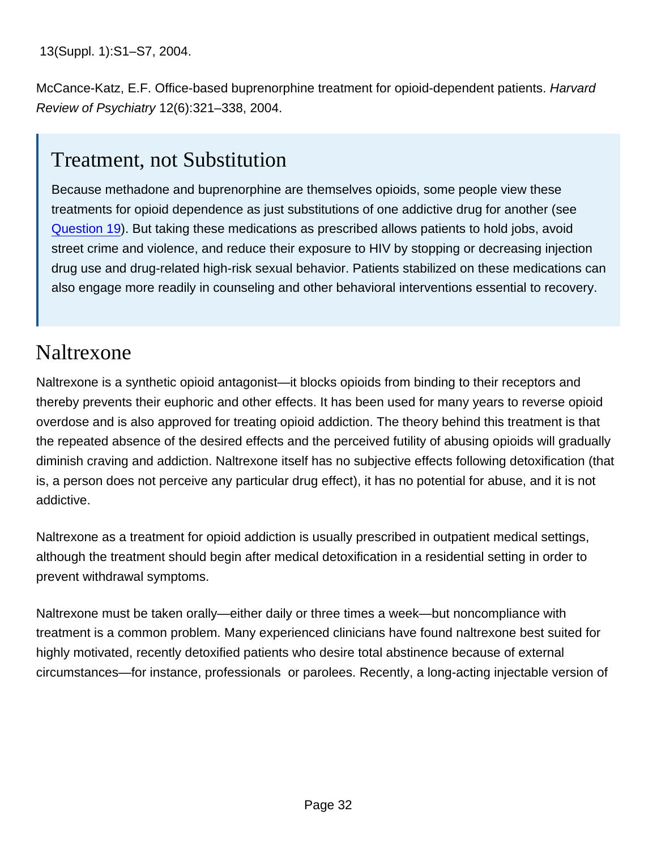13(Suppl. 1):S1–S7, 2004.

McCance-Katz, E.F. Office-based buprenorphine treatment for opioid-dependent patients. Harvard Review of Psychiatry 12(6):321–338, 2004.

#### Treatment, not Substitution

Because methadone and buprenorphine are themselves opioids, some people view these treatments for opioid dependence as just substitutions of one addictive drug for another (see [Question 19\)](http://nida.nih.gov/publications/principles-drug-addiction-treatment-research-based-guide-third-edition/frequently-asked-questions/use-medications-methadone-buprenorphine). But taking these medications as prescribed allows patients to hold jobs, avoid street crime and violence, and reduce their exposure to HIV by stopping or decreasing injection drug use and drug-related high-risk sexual behavior. Patients stabilized on these medications can also engage more readily in counseling and other behavioral interventions essential to recovery.

#### **Naltrexone**

Naltrexone is a synthetic opioid antagonist—it blocks opioids from binding to their receptors and thereby prevents their euphoric and other effects. It has been used for many years to reverse opioid overdose and is also approved for treating opioid addiction. The theory behind this treatment is that the repeated absence of the desired effects and the perceived futility of abusing opioids will gradually diminish craving and addiction. Naltrexone itself has no subjective effects following detoxification (that is, a person does not perceive any particular drug effect), it has no potential for abuse, and it is not addictive.

Naltrexone as a treatment for opioid addiction is usually prescribed in outpatient medical settings, although the treatment should begin after medical detoxification in a residential setting in order to prevent withdrawal symptoms.

Naltrexone must be taken orally—either daily or three times a week—but noncompliance with treatment is a common problem. Many experienced clinicians have found naltrexone best suited for highly motivated, recently detoxified patients who desire total abstinence because of external circumstances—for instance, professionals or parolees. Recently, a long-acting injectable version of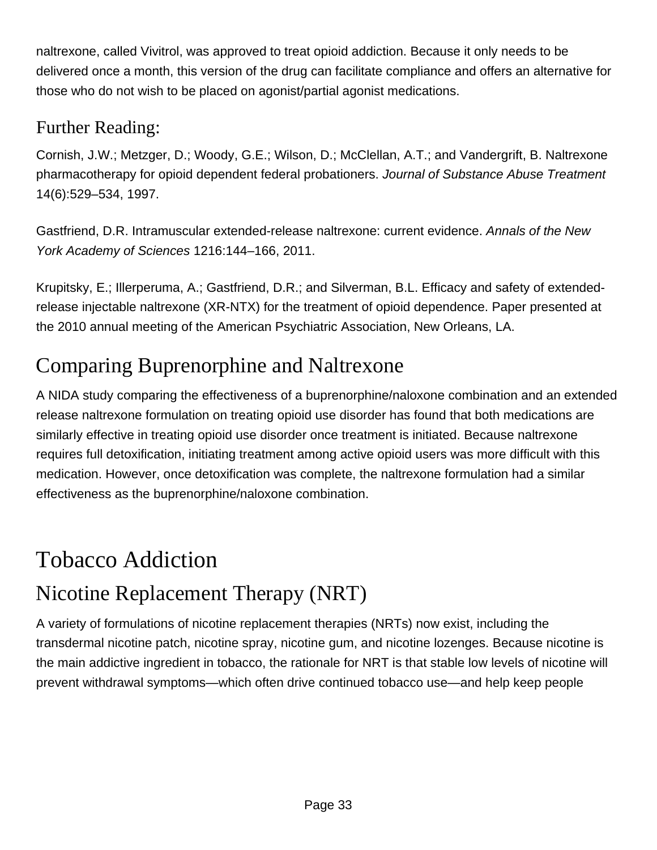naltrexone, called Vivitrol, was approved to treat opioid addiction. Because it only needs to be delivered once a month, this version of the drug can facilitate compliance and offers an alternative for those who do not wish to be placed on agonist/partial agonist medications.

#### Further Reading:

Cornish, J.W.; Metzger, D.; Woody, G.E.; Wilson, D.; McClellan, A.T.; and Vandergrift, B. Naltrexone pharmacotherapy for opioid dependent federal probationers. Journal of Substance Abuse Treatment 14(6):529–534, 1997.

Gastfriend, D.R. Intramuscular extended-release naltrexone: current evidence. Annals of the New York Academy of Sciences 1216:144–166, 2011.

Krupitsky, E.; Illerperuma, A.; Gastfriend, D.R.; and Silverman, B.L. Efficacy and safety of extendedrelease injectable naltrexone (XR-NTX) for the treatment of opioid dependence. Paper presented at the 2010 annual meeting of the American Psychiatric Association, New Orleans, LA.

### Comparing Buprenorphine and Naltrexone

A NIDA study comparing the effectiveness of a buprenorphine/naloxone combination and an extended release naltrexone formulation on treating opioid use disorder has found that both medications are similarly effective in treating opioid use disorder once treatment is initiated. Because naltrexone requires full detoxification, initiating treatment among active opioid users was more difficult with this medication. However, once detoxification was complete, the naltrexone formulation had a similar effectiveness as the buprenorphine/naloxone combination.

# Tobacco Addiction

### Nicotine Replacement Therapy (NRT)

A variety of formulations of nicotine replacement therapies (NRTs) now exist, including the transdermal nicotine patch, nicotine spray, nicotine gum, and nicotine lozenges. Because nicotine is the main addictive ingredient in tobacco, the rationale for NRT is that stable low levels of nicotine will prevent withdrawal symptoms—which often drive continued tobacco use—and help keep people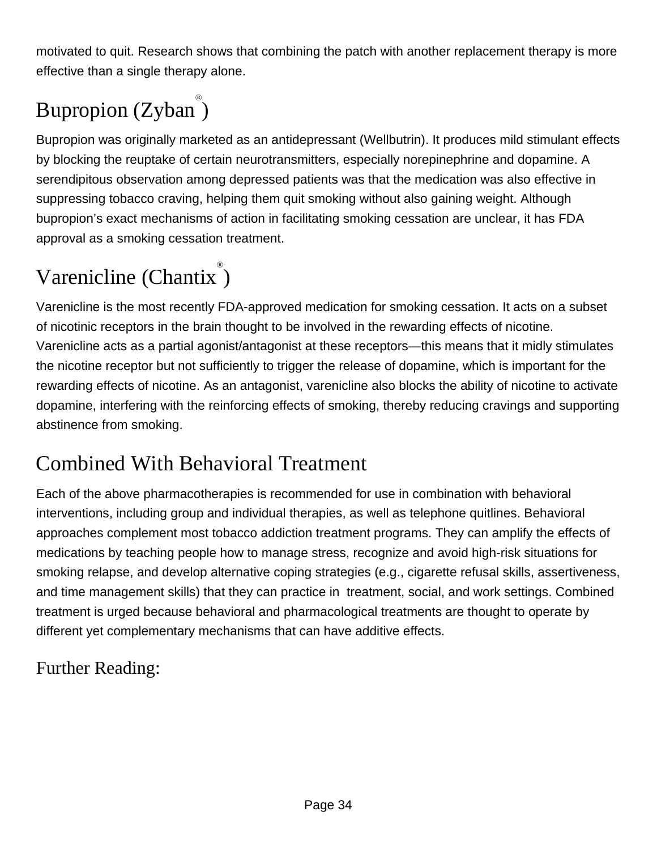motivated to quit. Research shows that combining the patch with another replacement therapy is more effective than a single therapy alone.

# Bupropion (Zyban $\degree$ )

Bupropion was originally marketed as an antidepressant (Wellbutrin). It produces mild stimulant effects by blocking the reuptake of certain neurotransmitters, especially norepinephrine and dopamine. A serendipitous observation among depressed patients was that the medication was also effective in suppressing tobacco craving, helping them quit smoking without also gaining weight. Although bupropion's exact mechanisms of action in facilitating smoking cessation are unclear, it has FDA approval as a smoking cessation treatment.

# Varenicline (Chantix $\overset{\circ}{\mathbf{y}}$ )

Varenicline is the most recently FDA-approved medication for smoking cessation. It acts on a subset of nicotinic receptors in the brain thought to be involved in the rewarding effects of nicotine. Varenicline acts as a partial agonist/antagonist at these receptors—this means that it midly stimulates the nicotine receptor but not sufficiently to trigger the release of dopamine, which is important for the rewarding effects of nicotine. As an antagonist, varenicline also blocks the ability of nicotine to activate dopamine, interfering with the reinforcing effects of smoking, thereby reducing cravings and supporting abstinence from smoking.

#### Combined With Behavioral Treatment

Each of the above pharmacotherapies is recommended for use in combination with behavioral interventions, including group and individual therapies, as well as telephone quitlines. Behavioral approaches complement most tobacco addiction treatment programs. They can amplify the effects of medications by teaching people how to manage stress, recognize and avoid high-risk situations for smoking relapse, and develop alternative coping strategies (e.g., cigarette refusal skills, assertiveness, and time management skills) that they can practice in treatment, social, and work settings. Combined treatment is urged because behavioral and pharmacological treatments are thought to operate by different yet complementary mechanisms that can have additive effects.

Further Reading: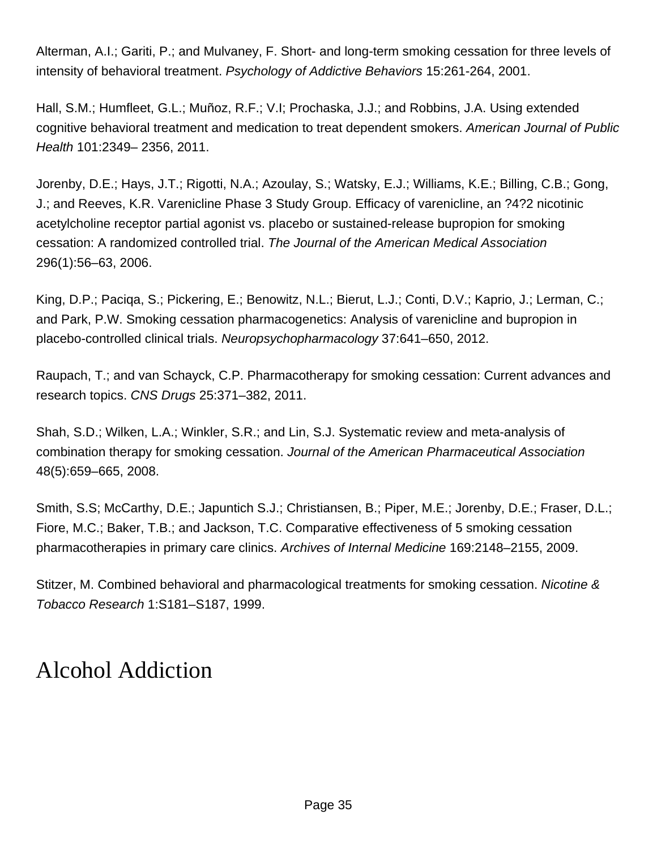Alterman, A.I.; Gariti, P.; and Mulvaney, F. Short- and long-term smoking cessation for three levels of intensity of behavioral treatment. Psychology of Addictive Behaviors 15:261-264, 2001.

Hall, S.M.; Humfleet, G.L.; Muñoz, R.F.; V.I; Prochaska, J.J.; and Robbins, J.A. Using extended cognitive behavioral treatment and medication to treat dependent smokers. American Journal of Public Health 101:2349– 2356, 2011.

Jorenby, D.E.; Hays, J.T.; Rigotti, N.A.; Azoulay, S.; Watsky, E.J.; Williams, K.E.; Billing, C.B.; Gong, J.; and Reeves, K.R. Varenicline Phase 3 Study Group. Efficacy of varenicline, an ?4?2 nicotinic acetylcholine receptor partial agonist vs. placebo or sustained-release bupropion for smoking cessation: A randomized controlled trial. The Journal of the American Medical Association 296(1):56–63, 2006.

King, D.P.; Paciqa, S.; Pickering, E.; Benowitz, N.L.; Bierut, L.J.; Conti, D.V.; Kaprio, J.; Lerman, C.; and Park, P.W. Smoking cessation pharmacogenetics: Analysis of varenicline and bupropion in placebo-controlled clinical trials. Neuropsychopharmacology 37:641–650, 2012.

Raupach, T.; and van Schayck, C.P. Pharmacotherapy for smoking cessation: Current advances and research topics. CNS Drugs 25:371–382, 2011.

Shah, S.D.; Wilken, L.A.; Winkler, S.R.; and Lin, S.J. Systematic review and meta-analysis of combination therapy for smoking cessation. Journal of the American Pharmaceutical Association 48(5):659–665, 2008.

Smith, S.S; McCarthy, D.E.; Japuntich S.J.; Christiansen, B.; Piper, M.E.; Jorenby, D.E.; Fraser, D.L.; Fiore, M.C.; Baker, T.B.; and Jackson, T.C. Comparative effectiveness of 5 smoking cessation pharmacotherapies in primary care clinics. Archives of Internal Medicine 169:2148–2155, 2009.

Stitzer, M. Combined behavioral and pharmacological treatments for smoking cessation. Nicotine & Tobacco Research 1:S181–S187, 1999.

### Alcohol Addiction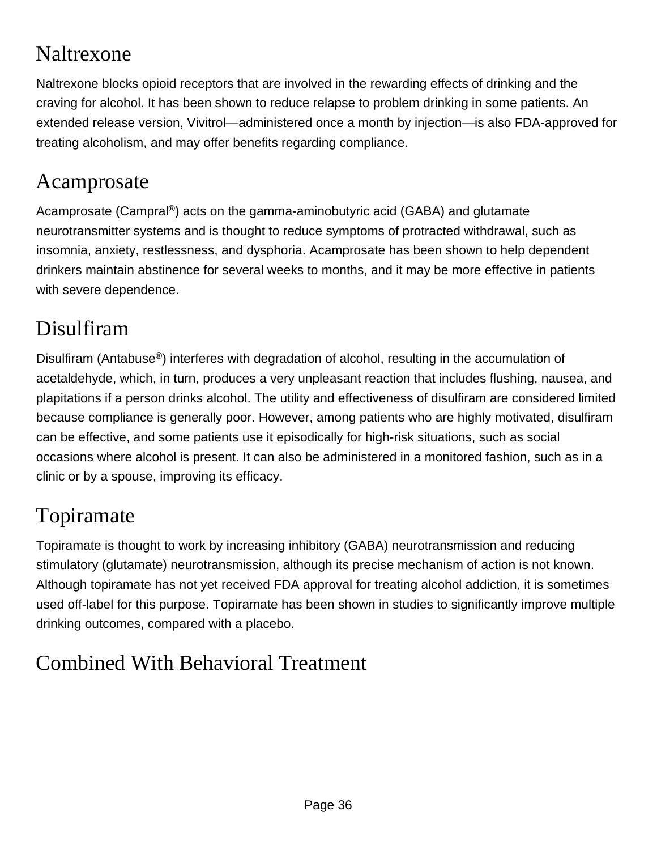### Naltrexone

Naltrexone blocks opioid receptors that are involved in the rewarding effects of drinking and the craving for alcohol. It has been shown to reduce relapse to problem drinking in some patients. An extended release version, Vivitrol—administered once a month by injection—is also FDA-approved for treating alcoholism, and may offer benefits regarding compliance.

#### Acamprosate

Acamprosate (Campral<sup>®</sup>) acts on the gamma-aminobutyric acid (GABA) and glutamate neurotransmitter systems and is thought to reduce symptoms of protracted withdrawal, such as insomnia, anxiety, restlessness, and dysphoria. Acamprosate has been shown to help dependent drinkers maintain abstinence for several weeks to months, and it may be more effective in patients with severe dependence.

#### Disulfiram

Disulfiram (Antabuse®) interferes with degradation of alcohol, resulting in the accumulation of acetaldehyde, which, in turn, produces a very unpleasant reaction that includes flushing, nausea, and plapitations if a person drinks alcohol. The utility and effectiveness of disulfiram are considered limited because compliance is generally poor. However, among patients who are highly motivated, disulfiram can be effective, and some patients use it episodically for high-risk situations, such as social occasions where alcohol is present. It can also be administered in a monitored fashion, such as in a clinic or by a spouse, improving its efficacy.

#### Topiramate

Topiramate is thought to work by increasing inhibitory (GABA) neurotransmission and reducing stimulatory (glutamate) neurotransmission, although its precise mechanism of action is not known. Although topiramate has not yet received FDA approval for treating alcohol addiction, it is sometimes used off-label for this purpose. Topiramate has been shown in studies to significantly improve multiple drinking outcomes, compared with a placebo.

#### Combined With Behavioral Treatment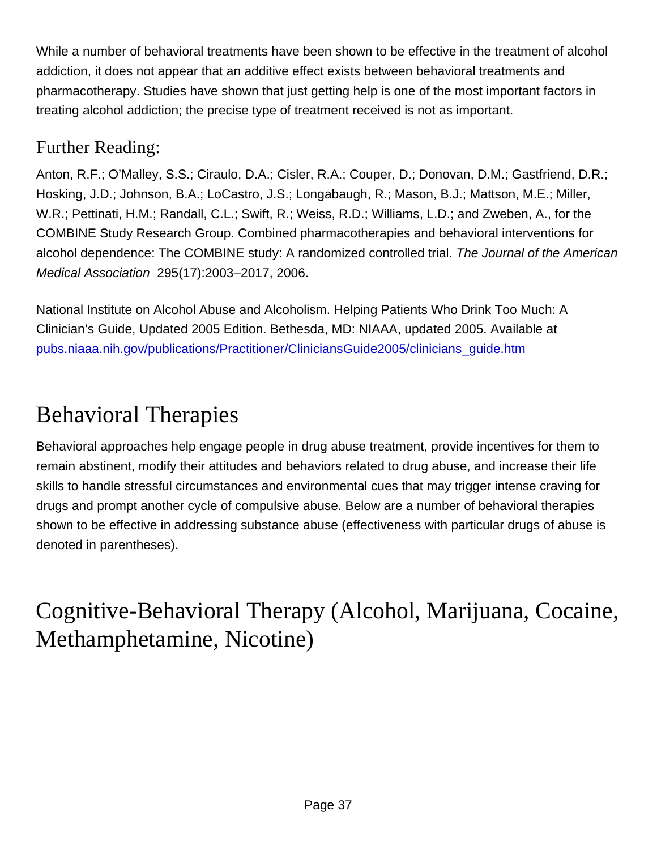While a number of behavioral treatments have been shown to be effective in the treatment of alcohol addiction, it does not appear that an additive effect exists between behavioral treatments and pharmacotherapy. Studies have shown that just getting help is one of the most important factors in treating alcohol addiction; the precise type of treatment received is not as important.

#### Further Reading:

Anton, R.F.; O'Malley, S.S.; Ciraulo, D.A.; Cisler, R.A.; Couper, D.; Donovan, D.M.; Gastfriend, D.R.; Hosking, J.D.; Johnson, B.A.; LoCastro, J.S.; Longabaugh, R.; Mason, B.J.; Mattson, M.E.; Miller, W.R.; Pettinati, H.M.; Randall, C.L.; Swift, R.; Weiss, R.D.; Williams, L.D.; and Zweben, A., for the COMBINE Study Research Group. Combined pharmacotherapies and behavioral interventions for alcohol dependence: The COMBINE study: A randomized controlled trial. The Journal of the American Medical Association 295(17):2003–2017, 2006.

National Institute on Alcohol Abuse and Alcoholism. Helping Patients Who Drink Too Much: A Clinician's Guide, Updated 2005 Edition. Bethesda, MD: NIAAA, updated 2005. Available at [pubs.niaaa.nih.gov/publications/Practitioner/CliniciansGuide2005/clinicians\\_guide.htm](http://pubs.niaaa.nih.gov/publications/Practitioner/CliniciansGuide2005/clinicians_guide.htm)

# Behavioral Therapies

Behavioral approaches help engage people in drug abuse treatment, provide incentives for them to remain abstinent, modify their attitudes and behaviors related to drug abuse, and increase their life skills to handle stressful circumstances and environmental cues that may trigger intense craving for drugs and prompt another cycle of compulsive abuse. Below are a number of behavioral therapies shown to be effective in addressing substance abuse (effectiveness with particular drugs of abuse is denoted in parentheses).

Cognitive-Behavioral Therapy (Alcohol, Marijuana, Cocaine, Methamphetamine, Nicotine)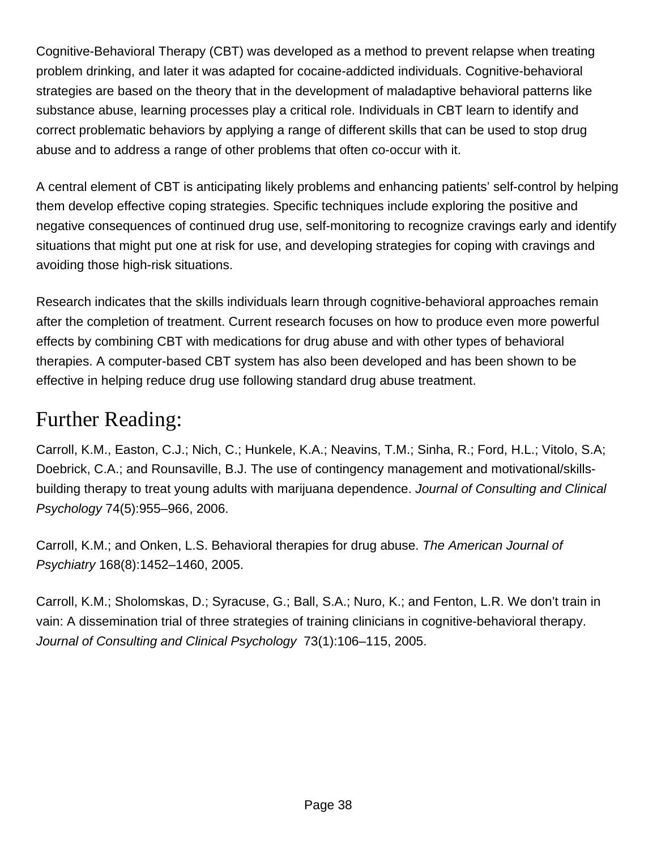Cognitive-Behavioral Therapy (CBT) was developed as a method to prevent relapse when treating problem drinking, and later it was adapted for cocaine-addicted individuals. Cognitive-behavioral strategies are based on the theory that in the development of maladaptive behavioral patterns like substance abuse, learning processes play a critical role. Individuals in CBT learn to identify and correct problematic behaviors by applying a range of different skills that can be used to stop drug abuse and to address a range of other problems that often co-occur with it.

A central element of CBT is anticipating likely problems and enhancing patients' self-control by helping them develop effective coping strategies. Specific techniques include exploring the positive and negative consequences of continued drug use, self-monitoring to recognize cravings early and identify situations that might put one at risk for use, and developing strategies for coping with cravings and avoiding those high-risk situations.

Research indicates that the skills individuals learn through cognitive-behavioral approaches remain after the completion of treatment. Current research focuses on how to produce even more powerful effects by combining CBT with medications for drug abuse and with other types of behavioral therapies. A computer-based CBT system has also been developed and has been shown to be effective in helping reduce drug use following standard drug abuse treatment.

#### Further Reading:

Carroll, K.M., Easton, C.J.; Nich, C.; Hunkele, K.A.; Neavins, T.M.; Sinha, R.; Ford, H.L.; Vitolo, S.A; Doebrick, C.A.; and Rounsaville, B.J. The use of contingency management and motivational/skillsbuilding therapy to treat young adults with marijuana dependence. Journal of Consulting and Clinical Psychology 74(5):955–966, 2006.

Carroll, K.M.; and Onken, L.S. Behavioral therapies for drug abuse. The American Journal of Psychiatry 168(8):1452–1460, 2005.

Carroll, K.M.; Sholomskas, D.; Syracuse, G.; Ball, S.A.; Nuro, K.; and Fenton, L.R. We don't train in vain: A dissemination trial of three strategies of training clinicians in cognitive-behavioral therapy. Journal of Consulting and Clinical Psychology 73(1):106–115, 2005.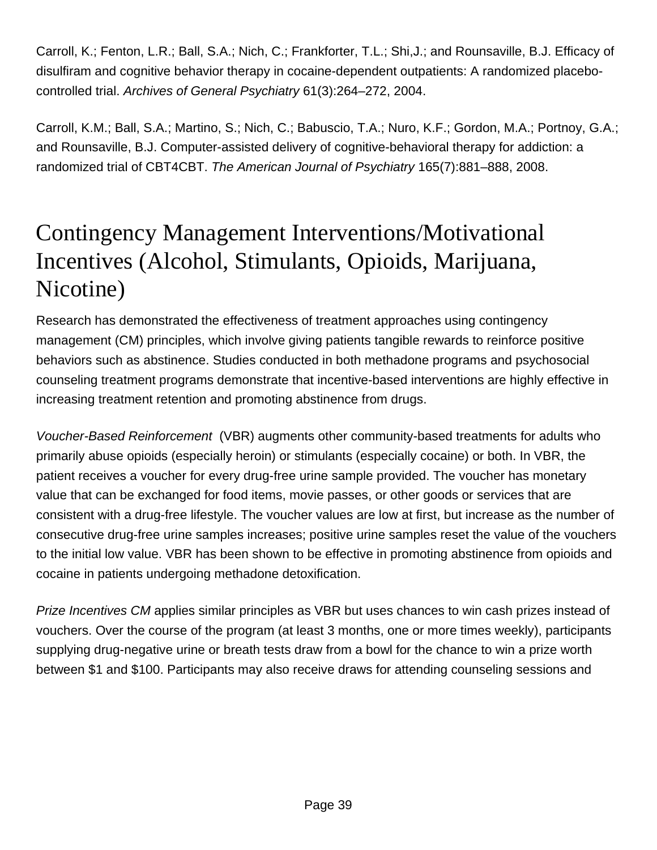Carroll, K.; Fenton, L.R.; Ball, S.A.; Nich, C.; Frankforter, T.L.; Shi,J.; and Rounsaville, B.J. Efficacy of disulfiram and cognitive behavior therapy in cocaine-dependent outpatients: A randomized placebocontrolled trial. Archives of General Psychiatry 61(3):264–272, 2004.

Carroll, K.M.; Ball, S.A.; Martino, S.; Nich, C.; Babuscio, T.A.; Nuro, K.F.; Gordon, M.A.; Portnoy, G.A.; and Rounsaville, B.J. Computer-assisted delivery of cognitive-behavioral therapy for addiction: a randomized trial of CBT4CBT. The American Journal of Psychiatry 165(7):881–888, 2008.

# Contingency Management Interventions/Motivational Incentives (Alcohol, Stimulants, Opioids, Marijuana, Nicotine)

Research has demonstrated the effectiveness of treatment approaches using contingency management (CM) principles, which involve giving patients tangible rewards to reinforce positive behaviors such as abstinence. Studies conducted in both methadone programs and psychosocial counseling treatment programs demonstrate that incentive-based interventions are highly effective in increasing treatment retention and promoting abstinence from drugs.

Voucher-Based Reinforcement (VBR) augments other community-based treatments for adults who primarily abuse opioids (especially heroin) or stimulants (especially cocaine) or both. In VBR, the patient receives a voucher for every drug-free urine sample provided. The voucher has monetary value that can be exchanged for food items, movie passes, or other goods or services that are consistent with a drug-free lifestyle. The voucher values are low at first, but increase as the number of consecutive drug-free urine samples increases; positive urine samples reset the value of the vouchers to the initial low value. VBR has been shown to be effective in promoting abstinence from opioids and cocaine in patients undergoing methadone detoxification.

Prize Incentives CM applies similar principles as VBR but uses chances to win cash prizes instead of vouchers. Over the course of the program (at least 3 months, one or more times weekly), participants supplying drug-negative urine or breath tests draw from a bowl for the chance to win a prize worth between \$1 and \$100. Participants may also receive draws for attending counseling sessions and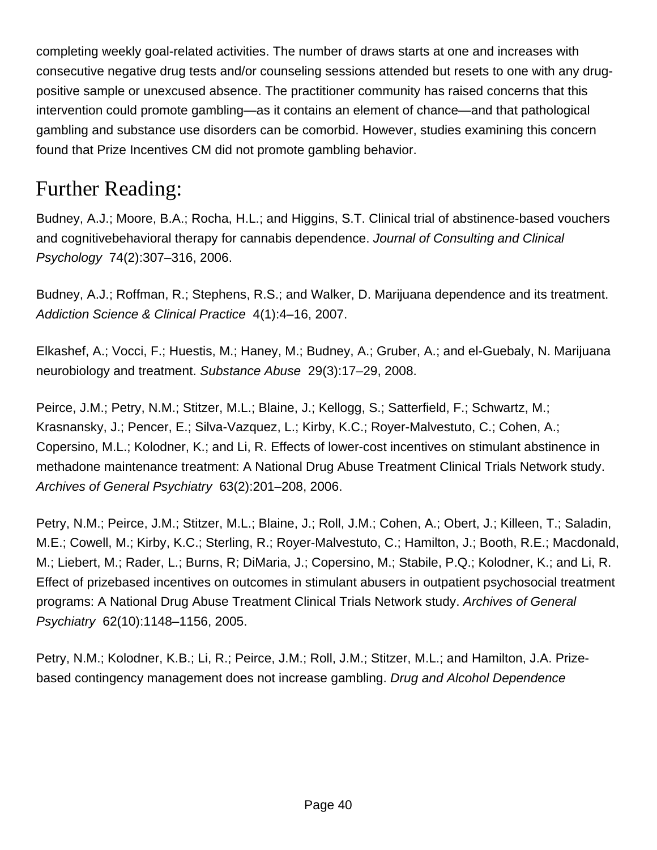completing weekly goal-related activities. The number of draws starts at one and increases with consecutive negative drug tests and/or counseling sessions attended but resets to one with any drugpositive sample or unexcused absence. The practitioner community has raised concerns that this intervention could promote gambling—as it contains an element of chance—and that pathological gambling and substance use disorders can be comorbid. However, studies examining this concern found that Prize Incentives CM did not promote gambling behavior.

#### Further Reading:

Budney, A.J.; Moore, B.A.; Rocha, H.L.; and Higgins, S.T. Clinical trial of abstinence-based vouchers and cognitivebehavioral therapy for cannabis dependence. Journal of Consulting and Clinical Psychology 74(2):307–316, 2006.

Budney, A.J.; Roffman, R.; Stephens, R.S.; and Walker, D. Marijuana dependence and its treatment. Addiction Science & Clinical Practice 4(1):4–16, 2007.

Elkashef, A.; Vocci, F.; Huestis, M.; Haney, M.; Budney, A.; Gruber, A.; and el-Guebaly, N. Marijuana neurobiology and treatment. Substance Abuse 29(3):17–29, 2008.

Peirce, J.M.; Petry, N.M.; Stitzer, M.L.; Blaine, J.; Kellogg, S.; Satterfield, F.; Schwartz, M.; Krasnansky, J.; Pencer, E.; Silva-Vazquez, L.; Kirby, K.C.; Royer-Malvestuto, C.; Cohen, A.; Copersino, M.L.; Kolodner, K.; and Li, R. Effects of lower-cost incentives on stimulant abstinence in methadone maintenance treatment: A National Drug Abuse Treatment Clinical Trials Network study. Archives of General Psychiatry 63(2):201–208, 2006.

Petry, N.M.; Peirce, J.M.; Stitzer, M.L.; Blaine, J.; Roll, J.M.; Cohen, A.; Obert, J.; Killeen, T.; Saladin, M.E.; Cowell, M.; Kirby, K.C.; Sterling, R.; Royer-Malvestuto, C.; Hamilton, J.; Booth, R.E.; Macdonald, M.; Liebert, M.; Rader, L.; Burns, R; DiMaria, J.; Copersino, M.; Stabile, P.Q.; Kolodner, K.; and Li, R. Effect of prizebased incentives on outcomes in stimulant abusers in outpatient psychosocial treatment programs: A National Drug Abuse Treatment Clinical Trials Network study. Archives of General Psychiatry 62(10):1148–1156, 2005.

Petry, N.M.; Kolodner, K.B.; Li, R.; Peirce, J.M.; Roll, J.M.; Stitzer, M.L.; and Hamilton, J.A. Prizebased contingency management does not increase gambling. Drug and Alcohol Dependence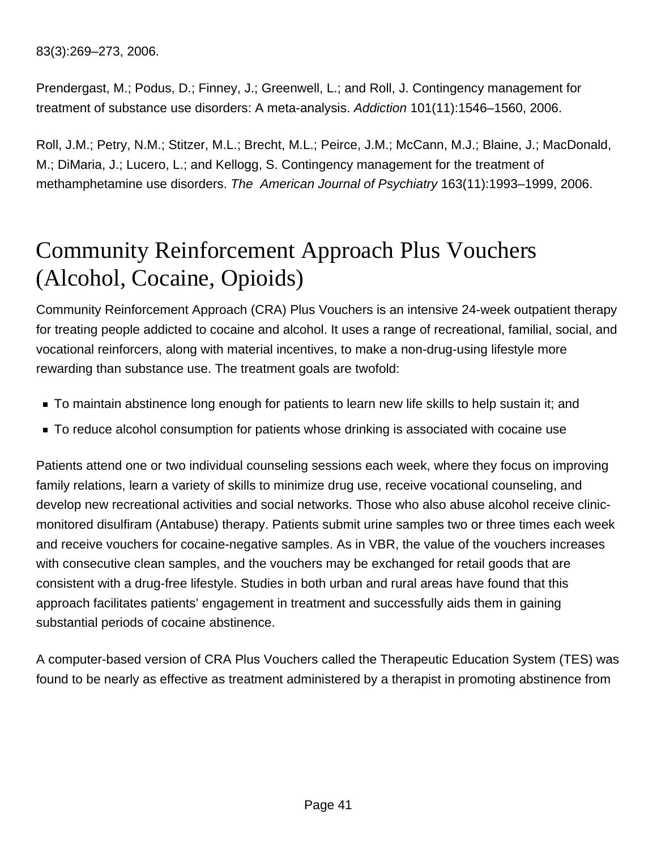83(3):269–273, 2006.

Prendergast, M.; Podus, D.; Finney, J.; Greenwell, L.; and Roll, J. Contingency management for treatment of substance use disorders: A meta-analysis. Addiction 101(11):1546–1560, 2006.

Roll, J.M.; Petry, N.M.; Stitzer, M.L.; Brecht, M.L.; Peirce, J.M.; McCann, M.J.; Blaine, J.; MacDonald, M.; DiMaria, J.; Lucero, L.; and Kellogg, S. Contingency management for the treatment of methamphetamine use disorders. The American Journal of Psychiatry 163(11):1993–1999, 2006.

## Community Reinforcement Approach Plus Vouchers (Alcohol, Cocaine, Opioids)

Community Reinforcement Approach (CRA) Plus Vouchers is an intensive 24-week outpatient therapy for treating people addicted to cocaine and alcohol. It uses a range of recreational, familial, social, and vocational reinforcers, along with material incentives, to make a non-drug-using lifestyle more rewarding than substance use. The treatment goals are twofold:

- To maintain abstinence long enough for patients to learn new life skills to help sustain it; and
- To reduce alcohol consumption for patients whose drinking is associated with cocaine use

Patients attend one or two individual counseling sessions each week, where they focus on improving family relations, learn a variety of skills to minimize drug use, receive vocational counseling, and develop new recreational activities and social networks. Those who also abuse alcohol receive clinicmonitored disulfiram (Antabuse) therapy. Patients submit urine samples two or three times each week and receive vouchers for cocaine-negative samples. As in VBR, the value of the vouchers increases with consecutive clean samples, and the vouchers may be exchanged for retail goods that are consistent with a drug-free lifestyle. Studies in both urban and rural areas have found that this approach facilitates patients' engagement in treatment and successfully aids them in gaining substantial periods of cocaine abstinence.

A computer-based version of CRA Plus Vouchers called the Therapeutic Education System (TES) was found to be nearly as effective as treatment administered by a therapist in promoting abstinence from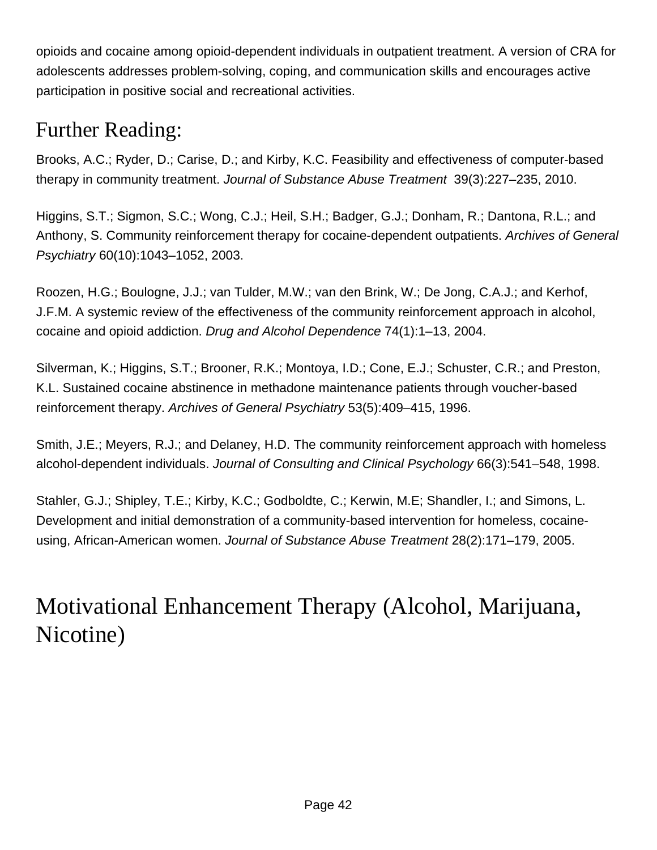opioids and cocaine among opioid-dependent individuals in outpatient treatment. A version of CRA for adolescents addresses problem-solving, coping, and communication skills and encourages active participation in positive social and recreational activities.

#### Further Reading:

Brooks, A.C.; Ryder, D.; Carise, D.; and Kirby, K.C. Feasibility and effectiveness of computer-based therapy in community treatment. Journal of Substance Abuse Treatment 39(3):227–235, 2010.

Higgins, S.T.; Sigmon, S.C.; Wong, C.J.; Heil, S.H.; Badger, G.J.; Donham, R.; Dantona, R.L.; and Anthony, S. Community reinforcement therapy for cocaine-dependent outpatients. Archives of General Psychiatry 60(10):1043–1052, 2003.

Roozen, H.G.; Boulogne, J.J.; van Tulder, M.W.; van den Brink, W.; De Jong, C.A.J.; and Kerhof, J.F.M. A systemic review of the effectiveness of the community reinforcement approach in alcohol, cocaine and opioid addiction. Drug and Alcohol Dependence 74(1):1–13, 2004.

Silverman, K.; Higgins, S.T.; Brooner, R.K.; Montoya, I.D.; Cone, E.J.; Schuster, C.R.; and Preston, K.L. Sustained cocaine abstinence in methadone maintenance patients through voucher-based reinforcement therapy. Archives of General Psychiatry 53(5):409–415, 1996.

Smith, J.E.; Meyers, R.J.; and Delaney, H.D. The community reinforcement approach with homeless alcohol-dependent individuals. Journal of Consulting and Clinical Psychology 66(3):541–548, 1998.

Stahler, G.J.; Shipley, T.E.; Kirby, K.C.; Godboldte, C.; Kerwin, M.E; Shandler, I.; and Simons, L. Development and initial demonstration of a community-based intervention for homeless, cocaineusing, African-American women. Journal of Substance Abuse Treatment 28(2):171–179, 2005.

## Motivational Enhancement Therapy (Alcohol, Marijuana, Nicotine)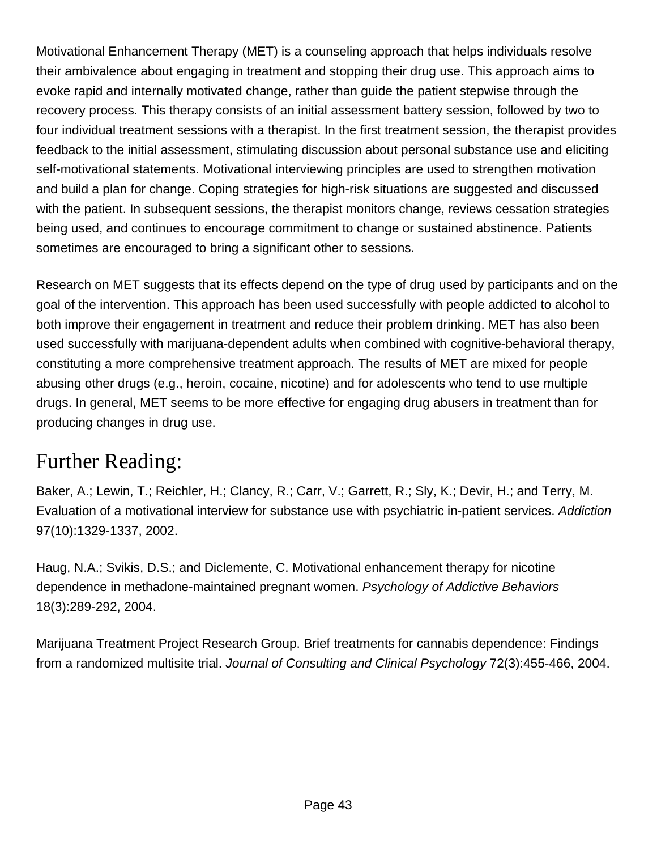Motivational Enhancement Therapy (MET) is a counseling approach that helps individuals resolve their ambivalence about engaging in treatment and stopping their drug use. This approach aims to evoke rapid and internally motivated change, rather than guide the patient stepwise through the recovery process. This therapy consists of an initial assessment battery session, followed by two to four individual treatment sessions with a therapist. In the first treatment session, the therapist provides feedback to the initial assessment, stimulating discussion about personal substance use and eliciting self-motivational statements. Motivational interviewing principles are used to strengthen motivation and build a plan for change. Coping strategies for high-risk situations are suggested and discussed with the patient. In subsequent sessions, the therapist monitors change, reviews cessation strategies being used, and continues to encourage commitment to change or sustained abstinence. Patients sometimes are encouraged to bring a significant other to sessions.

Research on MET suggests that its effects depend on the type of drug used by participants and on the goal of the intervention. This approach has been used successfully with people addicted to alcohol to both improve their engagement in treatment and reduce their problem drinking. MET has also been used successfully with marijuana-dependent adults when combined with cognitive-behavioral therapy, constituting a more comprehensive treatment approach. The results of MET are mixed for people abusing other drugs (e.g., heroin, cocaine, nicotine) and for adolescents who tend to use multiple drugs. In general, MET seems to be more effective for engaging drug abusers in treatment than for producing changes in drug use.

#### Further Reading:

Baker, A.; Lewin, T.; Reichler, H.; Clancy, R.; Carr, V.; Garrett, R.; Sly, K.; Devir, H.; and Terry, M. Evaluation of a motivational interview for substance use with psychiatric in-patient services. Addiction 97(10):1329-1337, 2002.

Haug, N.A.; Svikis, D.S.; and Diclemente, C. Motivational enhancement therapy for nicotine dependence in methadone-maintained pregnant women. Psychology of Addictive Behaviors 18(3):289-292, 2004.

Marijuana Treatment Project Research Group. Brief treatments for cannabis dependence: Findings from a randomized multisite trial. Journal of Consulting and Clinical Psychology 72(3):455-466, 2004.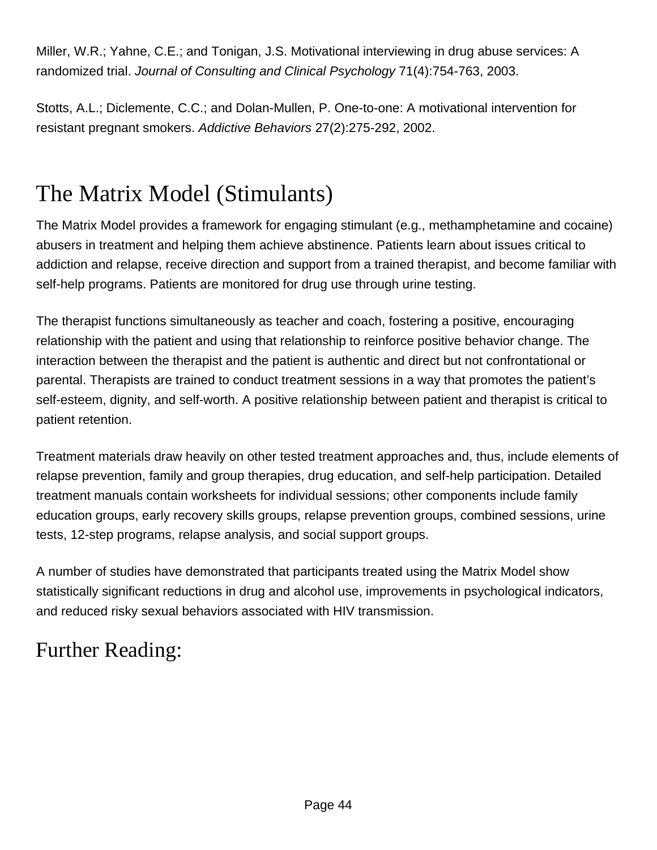Miller, W.R.; Yahne, C.E.; and Tonigan, J.S. Motivational interviewing in drug abuse services: A randomized trial. Journal of Consulting and Clinical Psychology 71(4):754-763, 2003.

Stotts, A.L.; Diclemente, C.C.; and Dolan-Mullen, P. One-to-one: A motivational intervention for resistant pregnant smokers. Addictive Behaviors 27(2):275-292, 2002.

# The Matrix Model (Stimulants)

The Matrix Model provides a framework for engaging stimulant (e.g., methamphetamine and cocaine) abusers in treatment and helping them achieve abstinence. Patients learn about issues critical to addiction and relapse, receive direction and support from a trained therapist, and become familiar with self-help programs. Patients are monitored for drug use through urine testing.

The therapist functions simultaneously as teacher and coach, fostering a positive, encouraging relationship with the patient and using that relationship to reinforce positive behavior change. The interaction between the therapist and the patient is authentic and direct but not confrontational or parental. Therapists are trained to conduct treatment sessions in a way that promotes the patient's self-esteem, dignity, and self-worth. A positive relationship between patient and therapist is critical to patient retention.

Treatment materials draw heavily on other tested treatment approaches and, thus, include elements of relapse prevention, family and group therapies, drug education, and self-help participation. Detailed treatment manuals contain worksheets for individual sessions; other components include family education groups, early recovery skills groups, relapse prevention groups, combined sessions, urine tests, 12-step programs, relapse analysis, and social support groups.

A number of studies have demonstrated that participants treated using the Matrix Model show statistically significant reductions in drug and alcohol use, improvements in psychological indicators, and reduced risky sexual behaviors associated with HIV transmission.

#### Further Reading: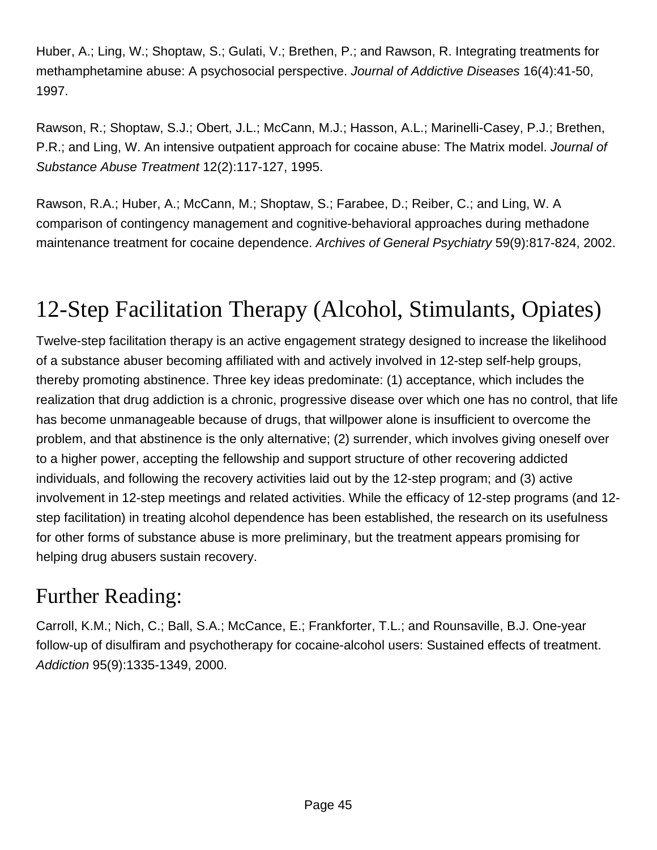Huber, A.; Ling, W.; Shoptaw, S.; Gulati, V.; Brethen, P.; and Rawson, R. Integrating treatments for methamphetamine abuse: A psychosocial perspective. Journal of Addictive Diseases 16(4):41-50, 1997.

Rawson, R.; Shoptaw, S.J.; Obert, J.L.; McCann, M.J.; Hasson, A.L.; Marinelli-Casey, P.J.; Brethen, P.R.; and Ling, W. An intensive outpatient approach for cocaine abuse: The Matrix model. Journal of Substance Abuse Treatment 12(2):117-127, 1995.

Rawson, R.A.; Huber, A.; McCann, M.; Shoptaw, S.; Farabee, D.; Reiber, C.; and Ling, W. A comparison of contingency management and cognitive-behavioral approaches during methadone maintenance treatment for cocaine dependence. Archives of General Psychiatry 59(9):817-824, 2002.

# 12-Step Facilitation Therapy (Alcohol, Stimulants, Opiates)

Twelve-step facilitation therapy is an active engagement strategy designed to increase the likelihood of a substance abuser becoming affiliated with and actively involved in 12-step self-help groups, thereby promoting abstinence. Three key ideas predominate: (1) acceptance, which includes the realization that drug addiction is a chronic, progressive disease over which one has no control, that life has become unmanageable because of drugs, that willpower alone is insufficient to overcome the problem, and that abstinence is the only alternative; (2) surrender, which involves giving oneself over to a higher power, accepting the fellowship and support structure of other recovering addicted individuals, and following the recovery activities laid out by the 12-step program; and (3) active involvement in 12-step meetings and related activities. While the efficacy of 12-step programs (and 12 step facilitation) in treating alcohol dependence has been established, the research on its usefulness for other forms of substance abuse is more preliminary, but the treatment appears promising for helping drug abusers sustain recovery.

#### Further Reading:

Carroll, K.M.; Nich, C.; Ball, S.A.; McCance, E.; Frankforter, T.L.; and Rounsaville, B.J. One-year follow-up of disulfiram and psychotherapy for cocaine-alcohol users: Sustained effects of treatment. Addiction 95(9):1335-1349, 2000.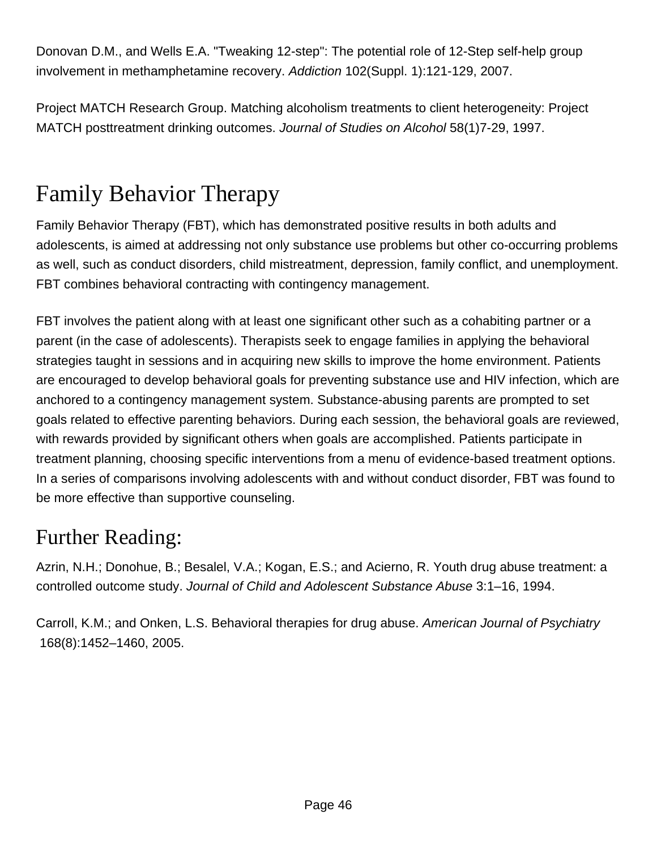Donovan D.M., and Wells E.A. "Tweaking 12-step": The potential role of 12-Step self-help group involvement in methamphetamine recovery. Addiction 102(Suppl. 1):121-129, 2007.

Project MATCH Research Group. Matching alcoholism treatments to client heterogeneity: Project MATCH posttreatment drinking outcomes. Journal of Studies on Alcohol 58(1)7-29, 1997.

# Family Behavior Therapy

Family Behavior Therapy (FBT), which has demonstrated positive results in both adults and adolescents, is aimed at addressing not only substance use problems but other co-occurring problems as well, such as conduct disorders, child mistreatment, depression, family conflict, and unemployment. FBT combines behavioral contracting with contingency management.

FBT involves the patient along with at least one significant other such as a cohabiting partner or a parent (in the case of adolescents). Therapists seek to engage families in applying the behavioral strategies taught in sessions and in acquiring new skills to improve the home environment. Patients are encouraged to develop behavioral goals for preventing substance use and HIV infection, which are anchored to a contingency management system. Substance-abusing parents are prompted to set goals related to effective parenting behaviors. During each session, the behavioral goals are reviewed, with rewards provided by significant others when goals are accomplished. Patients participate in treatment planning, choosing specific interventions from a menu of evidence-based treatment options. In a series of comparisons involving adolescents with and without conduct disorder, FBT was found to be more effective than supportive counseling.

#### Further Reading:

Azrin, N.H.; Donohue, B.; Besalel, V.A.; Kogan, E.S.; and Acierno, R. Youth drug abuse treatment: a controlled outcome study. Journal of Child and Adolescent Substance Abuse 3:1–16, 1994.

Carroll, K.M.; and Onken, L.S. Behavioral therapies for drug abuse. American Journal of Psychiatry 168(8):1452–1460, 2005.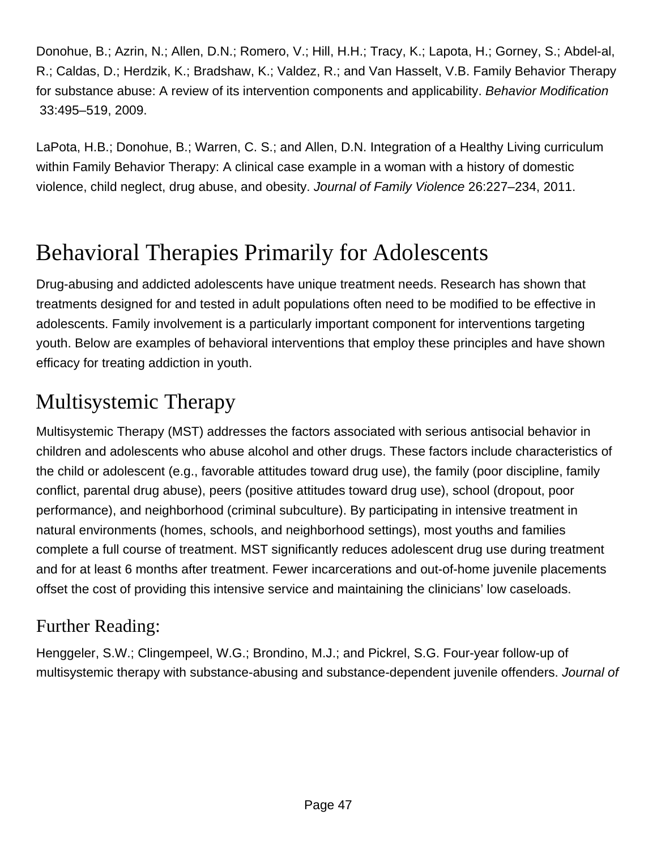Donohue, B.; Azrin, N.; Allen, D.N.; Romero, V.; Hill, H.H.; Tracy, K.; Lapota, H.; Gorney, S.; Abdel-al, R.; Caldas, D.; Herdzik, K.; Bradshaw, K.; Valdez, R.; and Van Hasselt, V.B. Family Behavior Therapy for substance abuse: A review of its intervention components and applicability. Behavior Modification 33:495–519, 2009.

LaPota, H.B.; Donohue, B.; Warren, C. S.; and Allen, D.N. Integration of a Healthy Living curriculum within Family Behavior Therapy: A clinical case example in a woman with a history of domestic violence, child neglect, drug abuse, and obesity. Journal of Family Violence 26:227–234, 2011.

## Behavioral Therapies Primarily for Adolescents

Drug-abusing and addicted adolescents have unique treatment needs. Research has shown that treatments designed for and tested in adult populations often need to be modified to be effective in adolescents. Family involvement is a particularly important component for interventions targeting youth. Below are examples of behavioral interventions that employ these principles and have shown efficacy for treating addiction in youth.

#### Multisystemic Therapy

Multisystemic Therapy (MST) addresses the factors associated with serious antisocial behavior in children and adolescents who abuse alcohol and other drugs. These factors include characteristics of the child or adolescent (e.g., favorable attitudes toward drug use), the family (poor discipline, family conflict, parental drug abuse), peers (positive attitudes toward drug use), school (dropout, poor performance), and neighborhood (criminal subculture). By participating in intensive treatment in natural environments (homes, schools, and neighborhood settings), most youths and families complete a full course of treatment. MST significantly reduces adolescent drug use during treatment and for at least 6 months after treatment. Fewer incarcerations and out-of-home juvenile placements offset the cost of providing this intensive service and maintaining the clinicians' low caseloads.

#### Further Reading:

Henggeler, S.W.; Clingempeel, W.G.; Brondino, M.J.; and Pickrel, S.G. Four-year follow-up of multisystemic therapy with substance-abusing and substance-dependent juvenile offenders. Journal of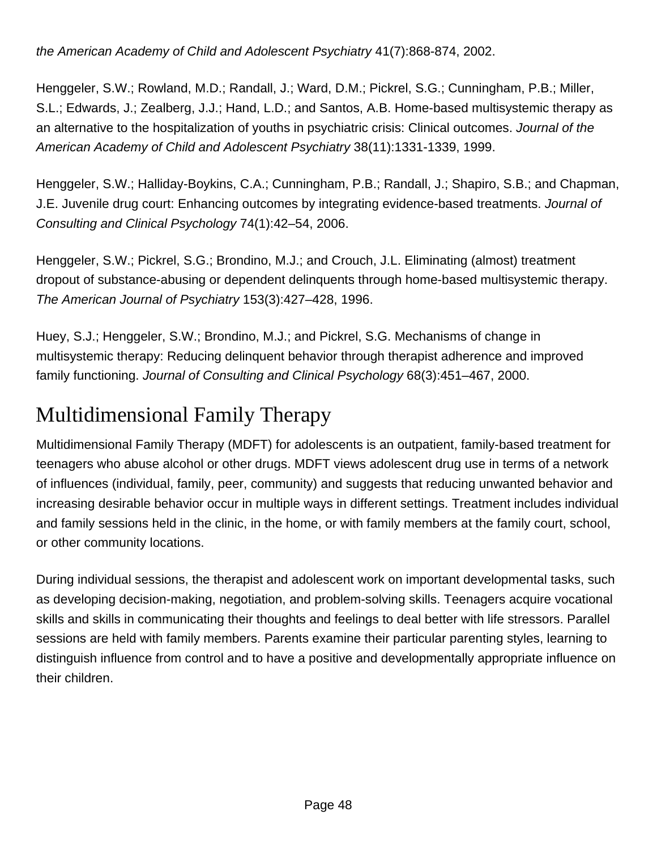the American Academy of Child and Adolescent Psychiatry 41(7):868-874, 2002.

Henggeler, S.W.; Rowland, M.D.; Randall, J.; Ward, D.M.; Pickrel, S.G.; Cunningham, P.B.; Miller, S.L.; Edwards, J.; Zealberg, J.J.; Hand, L.D.; and Santos, A.B. Home-based multisystemic therapy as an alternative to the hospitalization of youths in psychiatric crisis: Clinical outcomes. Journal of the American Academy of Child and Adolescent Psychiatry 38(11):1331-1339, 1999.

Henggeler, S.W.; Halliday-Boykins, C.A.; Cunningham, P.B.; Randall, J.; Shapiro, S.B.; and Chapman, J.E. Juvenile drug court: Enhancing outcomes by integrating evidence-based treatments. Journal of Consulting and Clinical Psychology 74(1):42–54, 2006.

Henggeler, S.W.; Pickrel, S.G.; Brondino, M.J.; and Crouch, J.L. Eliminating (almost) treatment dropout of substance-abusing or dependent delinquents through home-based multisystemic therapy. The American Journal of Psychiatry 153(3):427–428, 1996.

Huey, S.J.; Henggeler, S.W.; Brondino, M.J.; and Pickrel, S.G. Mechanisms of change in multisystemic therapy: Reducing delinquent behavior through therapist adherence and improved family functioning. Journal of Consulting and Clinical Psychology 68(3):451–467, 2000.

#### Multidimensional Family Therapy

Multidimensional Family Therapy (MDFT) for adolescents is an outpatient, family-based treatment for teenagers who abuse alcohol or other drugs. MDFT views adolescent drug use in terms of a network of influences (individual, family, peer, community) and suggests that reducing unwanted behavior and increasing desirable behavior occur in multiple ways in different settings. Treatment includes individual and family sessions held in the clinic, in the home, or with family members at the family court, school, or other community locations.

During individual sessions, the therapist and adolescent work on important developmental tasks, such as developing decision-making, negotiation, and problem-solving skills. Teenagers acquire vocational skills and skills in communicating their thoughts and feelings to deal better with life stressors. Parallel sessions are held with family members. Parents examine their particular parenting styles, learning to distinguish influence from control and to have a positive and developmentally appropriate influence on their children.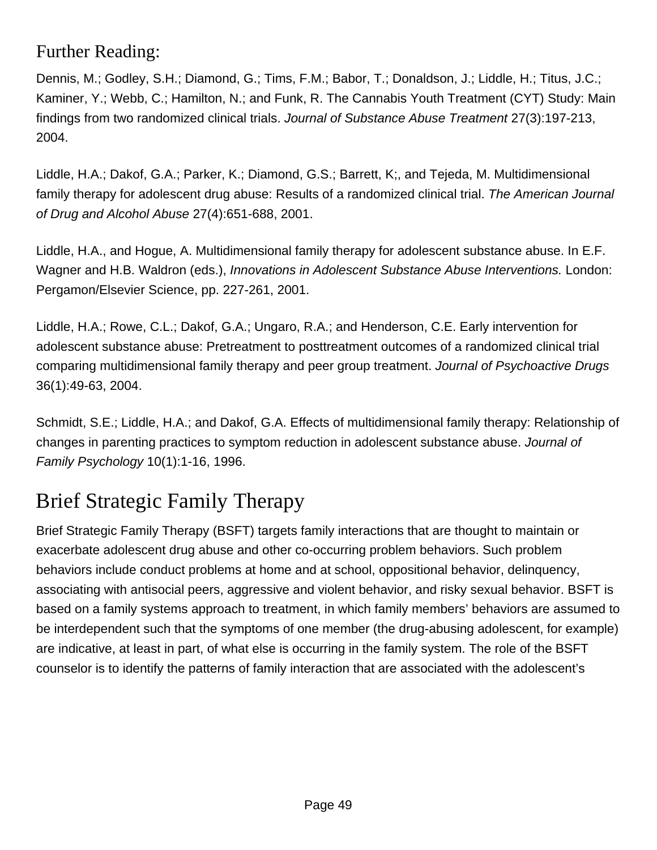#### Further Reading:

Dennis, M.; Godley, S.H.; Diamond, G.; Tims, F.M.; Babor, T.; Donaldson, J.; Liddle, H.; Titus, J.C.; Kaminer, Y.; Webb, C.; Hamilton, N.; and Funk, R. The Cannabis Youth Treatment (CYT) Study: Main findings from two randomized clinical trials. Journal of Substance Abuse Treatment 27(3):197-213, 2004.

Liddle, H.A.; Dakof, G.A.; Parker, K.; Diamond, G.S.; Barrett, K;, and Tejeda, M. Multidimensional family therapy for adolescent drug abuse: Results of a randomized clinical trial. The American Journal of Drug and Alcohol Abuse 27(4):651-688, 2001.

Liddle, H.A., and Hogue, A. Multidimensional family therapy for adolescent substance abuse. In E.F. Wagner and H.B. Waldron (eds.), Innovations in Adolescent Substance Abuse Interventions. London: Pergamon/Elsevier Science, pp. 227-261, 2001.

Liddle, H.A.; Rowe, C.L.; Dakof, G.A.; Ungaro, R.A.; and Henderson, C.E. Early intervention for adolescent substance abuse: Pretreatment to posttreatment outcomes of a randomized clinical trial comparing multidimensional family therapy and peer group treatment. Journal of Psychoactive Drugs 36(1):49-63, 2004.

Schmidt, S.E.; Liddle, H.A.; and Dakof, G.A. Effects of multidimensional family therapy: Relationship of changes in parenting practices to symptom reduction in adolescent substance abuse. Journal of Family Psychology 10(1):1-16, 1996.

#### Brief Strategic Family Therapy

Brief Strategic Family Therapy (BSFT) targets family interactions that are thought to maintain or exacerbate adolescent drug abuse and other co-occurring problem behaviors. Such problem behaviors include conduct problems at home and at school, oppositional behavior, delinquency, associating with antisocial peers, aggressive and violent behavior, and risky sexual behavior. BSFT is based on a family systems approach to treatment, in which family members' behaviors are assumed to be interdependent such that the symptoms of one member (the drug-abusing adolescent, for example) are indicative, at least in part, of what else is occurring in the family system. The role of the BSFT counselor is to identify the patterns of family interaction that are associated with the adolescent's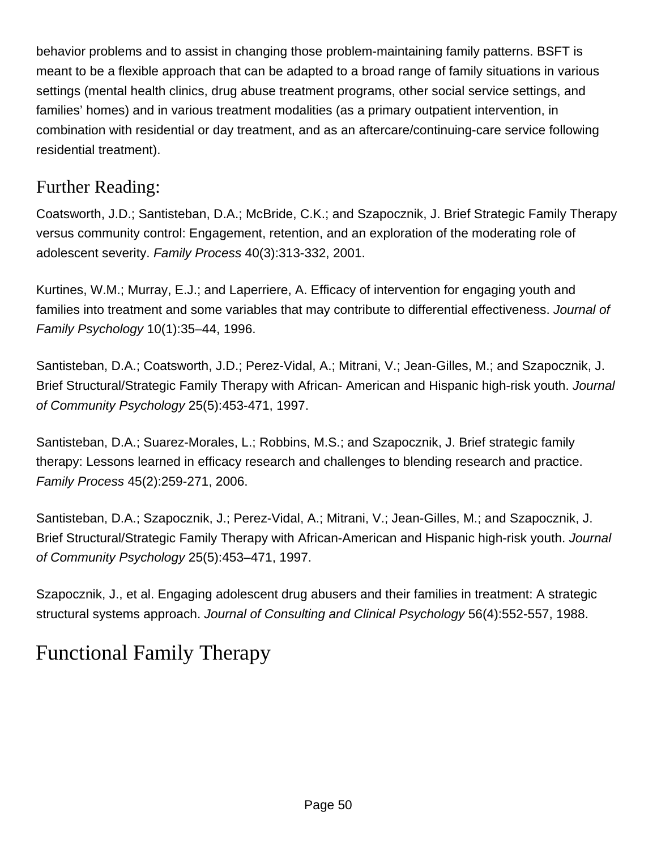behavior problems and to assist in changing those problem-maintaining family patterns. BSFT is meant to be a flexible approach that can be adapted to a broad range of family situations in various settings (mental health clinics, drug abuse treatment programs, other social service settings, and families' homes) and in various treatment modalities (as a primary outpatient intervention, in combination with residential or day treatment, and as an aftercare/continuing-care service following residential treatment).

#### Further Reading:

Coatsworth, J.D.; Santisteban, D.A.; McBride, C.K.; and Szapocznik, J. Brief Strategic Family Therapy versus community control: Engagement, retention, and an exploration of the moderating role of adolescent severity. Family Process 40(3):313-332, 2001.

Kurtines, W.M.; Murray, E.J.; and Laperriere, A. Efficacy of intervention for engaging youth and families into treatment and some variables that may contribute to differential effectiveness. Journal of Family Psychology 10(1):35–44, 1996.

Santisteban, D.A.; Coatsworth, J.D.; Perez-Vidal, A.; Mitrani, V.; Jean-Gilles, M.; and Szapocznik, J. Brief Structural/Strategic Family Therapy with African- American and Hispanic high-risk youth. Journal of Community Psychology 25(5):453-471, 1997.

Santisteban, D.A.; Suarez-Morales, L.; Robbins, M.S.; and Szapocznik, J. Brief strategic family therapy: Lessons learned in efficacy research and challenges to blending research and practice. Family Process 45(2):259-271, 2006.

Santisteban, D.A.; Szapocznik, J.; Perez-Vidal, A.; Mitrani, V.; Jean-Gilles, M.; and Szapocznik, J. Brief Structural/Strategic Family Therapy with African-American and Hispanic high-risk youth. Journal of Community Psychology 25(5):453–471, 1997.

Szapocznik, J., et al. Engaging adolescent drug abusers and their families in treatment: A strategic structural systems approach. Journal of Consulting and Clinical Psychology 56(4):552-557, 1988.

#### Functional Family Therapy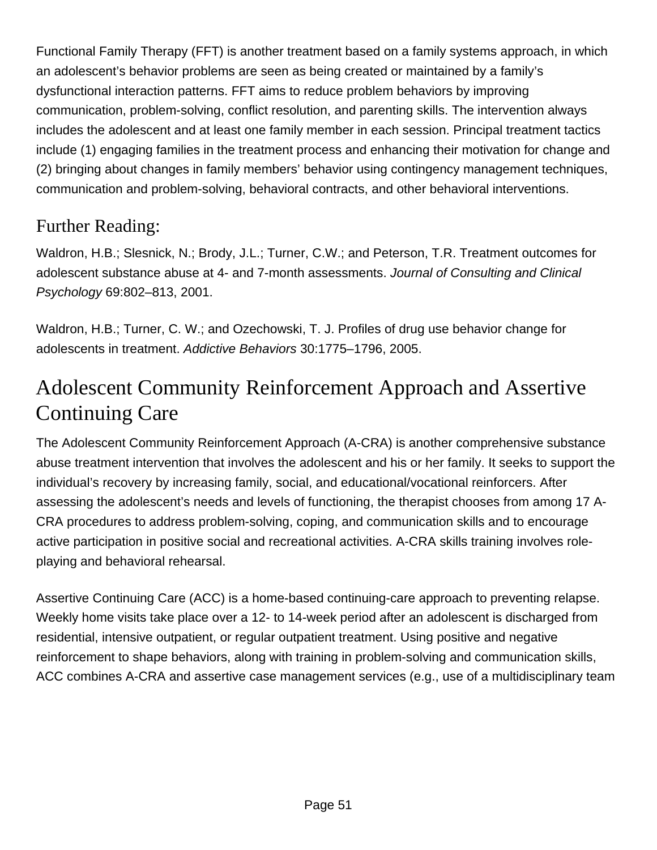Functional Family Therapy (FFT) is another treatment based on a family systems approach, in which an adolescent's behavior problems are seen as being created or maintained by a family's dysfunctional interaction patterns. FFT aims to reduce problem behaviors by improving communication, problem-solving, conflict resolution, and parenting skills. The intervention always includes the adolescent and at least one family member in each session. Principal treatment tactics include (1) engaging families in the treatment process and enhancing their motivation for change and (2) bringing about changes in family members' behavior using contingency management techniques, communication and problem-solving, behavioral contracts, and other behavioral interventions.

#### Further Reading:

Waldron, H.B.; Slesnick, N.; Brody, J.L.; Turner, C.W.; and Peterson, T.R. Treatment outcomes for adolescent substance abuse at 4- and 7-month assessments. Journal of Consulting and Clinical Psychology 69:802–813, 2001.

Waldron, H.B.; Turner, C. W.; and Ozechowski, T. J. Profiles of drug use behavior change for adolescents in treatment. Addictive Behaviors 30:1775–1796, 2005.

#### Adolescent Community Reinforcement Approach and Assertive Continuing Care

The Adolescent Community Reinforcement Approach (A-CRA) is another comprehensive substance abuse treatment intervention that involves the adolescent and his or her family. It seeks to support the individual's recovery by increasing family, social, and educational/vocational reinforcers. After assessing the adolescent's needs and levels of functioning, the therapist chooses from among 17 A-CRA procedures to address problem-solving, coping, and communication skills and to encourage active participation in positive social and recreational activities. A-CRA skills training involves roleplaying and behavioral rehearsal.

Assertive Continuing Care (ACC) is a home-based continuing-care approach to preventing relapse. Weekly home visits take place over a 12- to 14-week period after an adolescent is discharged from residential, intensive outpatient, or regular outpatient treatment. Using positive and negative reinforcement to shape behaviors, along with training in problem-solving and communication skills, ACC combines A-CRA and assertive case management services (e.g., use of a multidisciplinary team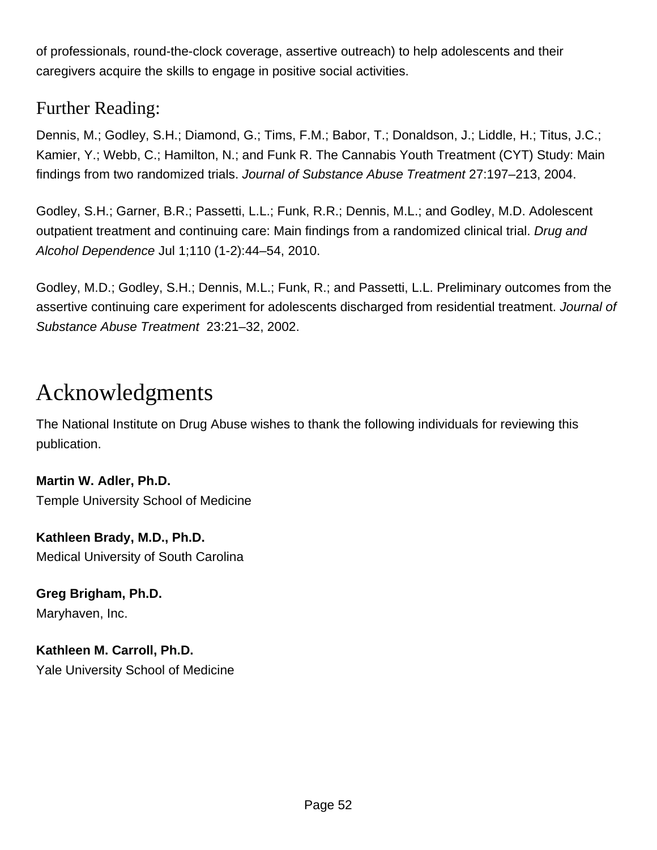of professionals, round-the-clock coverage, assertive outreach) to help adolescents and their caregivers acquire the skills to engage in positive social activities.

#### Further Reading:

Dennis, M.; Godley, S.H.; Diamond, G.; Tims, F.M.; Babor, T.; Donaldson, J.; Liddle, H.; Titus, J.C.; Kamier, Y.; Webb, C.; Hamilton, N.; and Funk R. The Cannabis Youth Treatment (CYT) Study: Main findings from two randomized trials. Journal of Substance Abuse Treatment 27:197–213, 2004.

Godley, S.H.; Garner, B.R.; Passetti, L.L.; Funk, R.R.; Dennis, M.L.; and Godley, M.D. Adolescent outpatient treatment and continuing care: Main findings from a randomized clinical trial. Drug and Alcohol Dependence Jul 1;110 (1-2):44–54, 2010.

Godley, M.D.; Godley, S.H.; Dennis, M.L.; Funk, R.; and Passetti, L.L. Preliminary outcomes from the assertive continuing care experiment for adolescents discharged from residential treatment. Journal of Substance Abuse Treatment 23:21–32, 2002.

### Acknowledgments

The National Institute on Drug Abuse wishes to thank the following individuals for reviewing this publication.

**Martin W. Adler, Ph.D.** Temple University School of Medicine

**Kathleen Brady, M.D., Ph.D.** Medical University of South Carolina

**Greg Brigham, Ph.D.** Maryhaven, Inc.

**Kathleen M. Carroll, Ph.D.** Yale University School of Medicine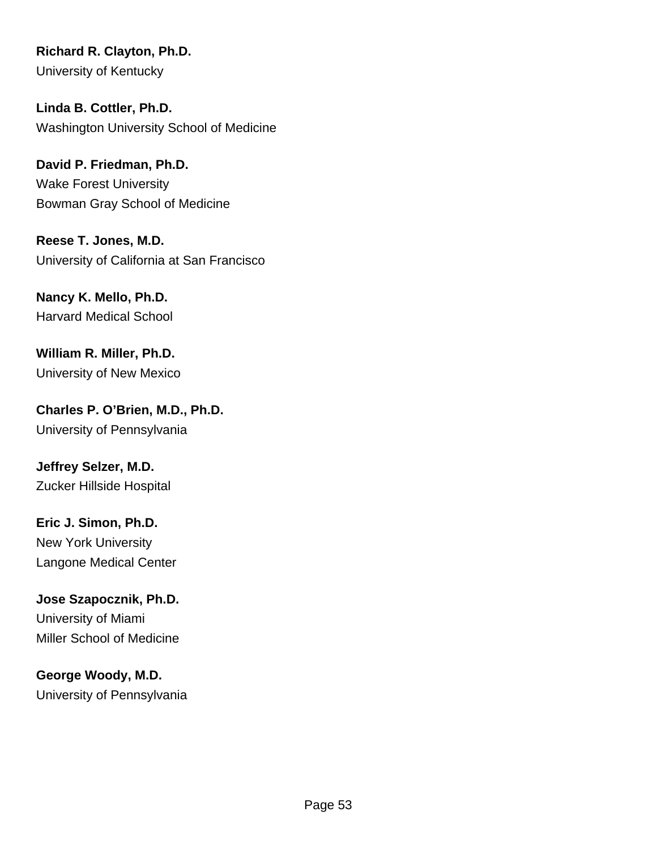**Richard R. Clayton, Ph.D.** University of Kentucky

**Linda B. Cottler, Ph.D.** Washington University School of Medicine

**David P. Friedman, Ph.D.** Wake Forest University Bowman Gray School of Medicine

**Reese T. Jones, M.D.** University of California at San Francisco

**Nancy K. Mello, Ph.D.** Harvard Medical School

**William R. Miller, Ph.D.** University of New Mexico

**Charles P. O'Brien, M.D., Ph.D.** University of Pennsylvania

**Jeffrey Selzer, M.D.** Zucker Hillside Hospital

**Eric J. Simon, Ph.D.** New York University Langone Medical Center

**Jose Szapocznik, Ph.D.** University of Miami Miller School of Medicine

**George Woody, M.D.** University of Pennsylvania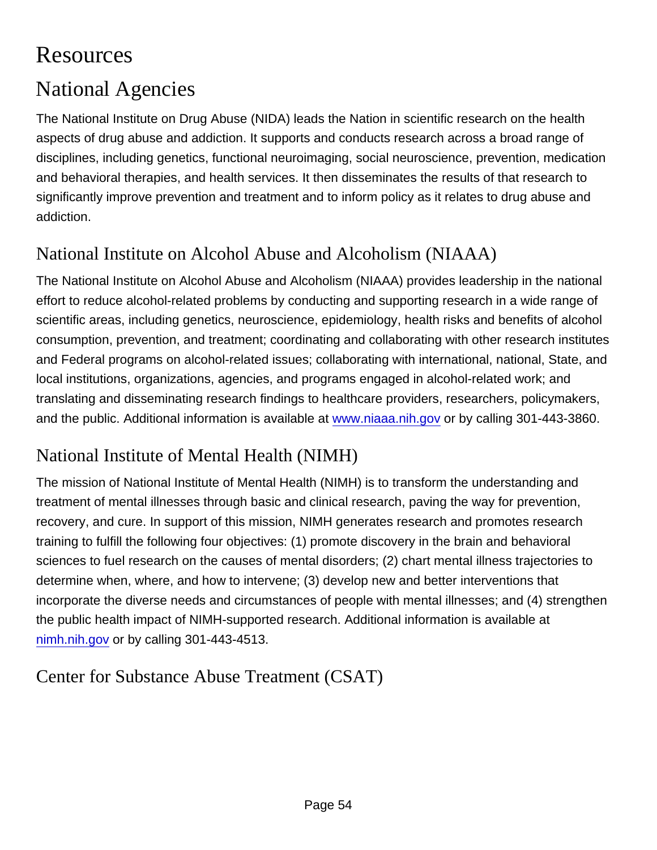# Resources

#### National Agencies

The National Institute on Drug Abuse (NIDA) leads the Nation in scientific research on the health aspects of drug abuse and addiction. It supports and conducts research across a broad range of disciplines, including genetics, functional neuroimaging, social neuroscience, prevention, medication and behavioral therapies, and health services. It then disseminates the results of that research to significantly improve prevention and treatment and to inform policy as it relates to drug abuse and addiction.

#### National Institute on Alcohol Abuse and Alcoholism (NIAAA)

The National Institute on Alcohol Abuse and Alcoholism (NIAAA) provides leadership in the national effort to reduce alcohol-related problems by conducting and supporting research in a wide range of scientific areas, including genetics, neuroscience, epidemiology, health risks and benefits of alcohol consumption, prevention, and treatment; coordinating and collaborating with other research institutes and Federal programs on alcohol-related issues; collaborating with international, national, State, and local institutions, organizations, agencies, and programs engaged in alcohol-related work; and translating and disseminating research findings to healthcare providers, researchers, policymakers, and the public. Additional information is available at [www.niaaa.nih.gov](http://www.niaaa.nih.gov) or by calling 301-443-3860.

#### National Institute of Mental Health (NIMH)

The mission of National Institute of Mental Health (NIMH) is to transform the understanding and treatment of mental illnesses through basic and clinical research, paving the way for prevention, recovery, and cure. In support of this mission, NIMH generates research and promotes research training to fulfill the following four objectives: (1) promote discovery in the brain and behavioral sciences to fuel research on the causes of mental disorders; (2) chart mental illness trajectories to determine when, where, and how to intervene; (3) develop new and better interventions that incorporate the diverse needs and circumstances of people with mental illnesses; and (4) strengthen the public health impact of NIMH-supported research. Additional information is available at [nimh.nih.gov](http://www.nimh.nih.gov/index.shtml) or by calling 301-443-4513.

#### Center for Substance Abuse Treatment (CSAT)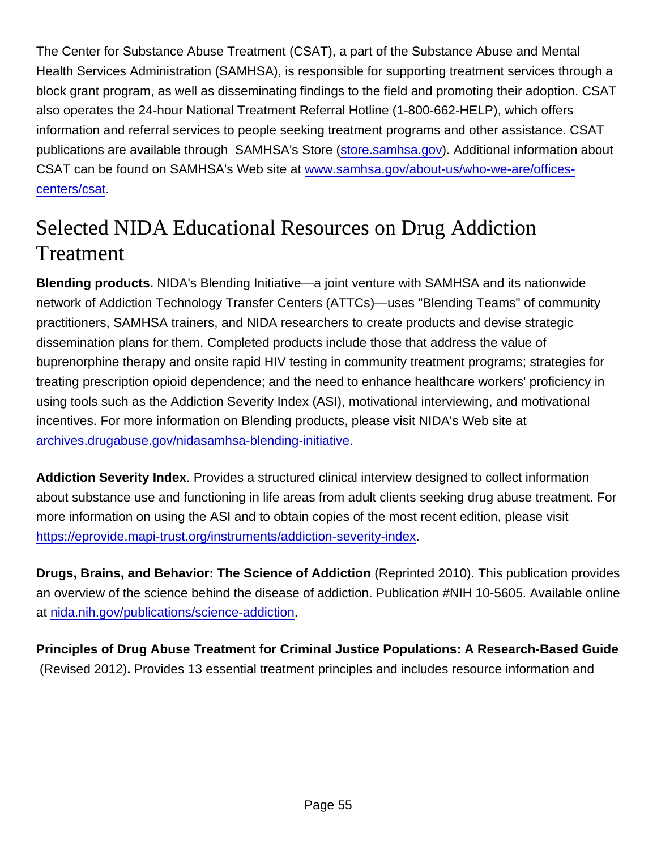The Center for Substance Abuse Treatment (CSAT), a part of the Substance Abuse and Mental Health Services Administration (SAMHSA), is responsible for supporting treatment services through a block grant program, as well as disseminating findings to the field and promoting their adoption. CSAT also operates the 24-hour National Treatment Referral Hotline (1-800-662-HELP), which offers information and referral services to people seeking treatment programs and other assistance. CSAT publications are available through SAMHSA's Store [\(store.samhsa.gov](http://store.samhsa.gov)). Additional information about CSAT can be found on SAMHSA's Web site at [www.samhsa.gov/about-us/who-we-are/offices](http://www.samhsa.gov/about-us/who-we-are/offices-centers/csat)[centers/csat](http://www.samhsa.gov/about-us/who-we-are/offices-centers/csat).

#### Selected NIDA Educational Resources on Drug Addiction Treatment

Blending products. NIDA's Blending Initiative—a joint venture with SAMHSA and its nationwide network of Addiction Technology Transfer Centers (ATTCs)—uses "Blending Teams" of community practitioners, SAMHSA trainers, and NIDA researchers to create products and devise strategic dissemination plans for them. Completed products include those that address the value of buprenorphine therapy and onsite rapid HIV testing in community treatment programs; strategies for treating prescription opioid dependence; and the need to enhance healthcare workers' proficiency in using tools such as the Addiction Severity Index (ASI), motivational interviewing, and motivational incentives. For more information on Blending products, please visit NIDA's Web site at [archives.drugabuse.gov/nidasamhsa-blending-initiative.](https://archives.drugabuse.gov/nidasamhsa-blending-initiative)

Addiction Severity Index . Provides a structured clinical interview designed to collect information about substance use and functioning in life areas from adult clients seeking drug abuse treatment. For more information on using the ASI and to obtain copies of the most recent edition, please visit [https://eprovide.mapi-trust.org/instruments/addiction-severity-index.](https://eprovide.mapi-trust.org/instruments/addiction-severity-index)

Drugs, Brains, and Behavior: The Science of Addiction (Reprinted 2010). This publication provides an overview of the science behind the disease of addiction. Publication #NIH 10-5605. Available online at [nida.nih.gov/publications/science-addiction.](http://nida.nih.gov/publications/science-addiction)

Principles of Drug Abuse Treatment for Criminal Justice Populations: A Research-Based Guide (Revised 2012). Provides 13 essential treatment principles and includes resource information and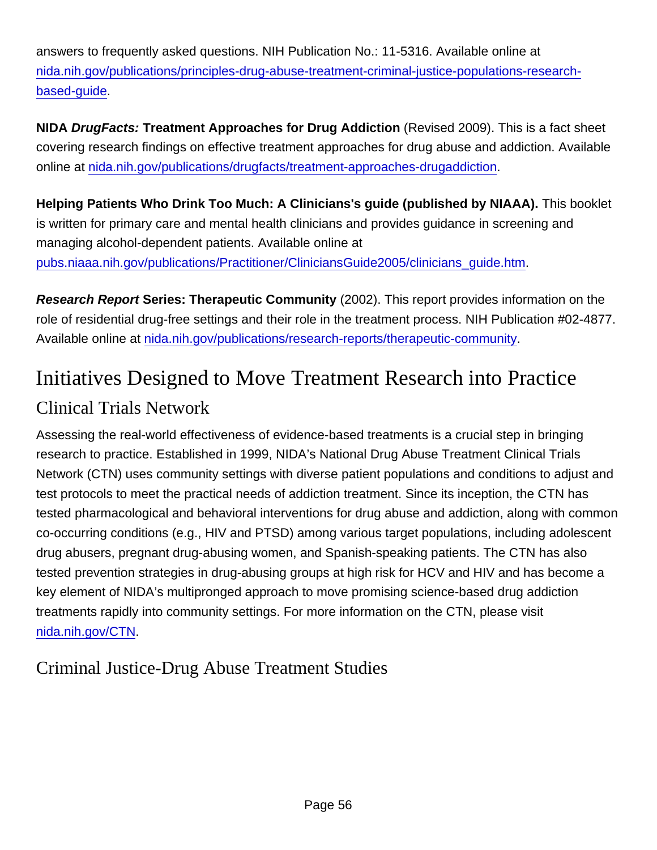answers to frequently asked questions. NIH Publication No.: 11-5316. Available online at [nida.nih.gov/publications/principles-drug-abuse-treatment-criminal-justice-populations-research](http://nida.nih.gov/publications/principles-drug-abuse-treatment-criminal-justice-populations-research-based-guide)[based-guide.](http://nida.nih.gov/publications/principles-drug-abuse-treatment-criminal-justice-populations-research-based-guide)

NIDA DrugFacts: Treatment Approaches for Drug Addiction (Revised 2009). This is a fact sheet covering research findings on effective treatment approaches for drug abuse and addiction. Available online at [nida.nih.gov/publications/drugfacts/treatment-approaches-drugaddiction](http://nida.nih.gov/publications/drugfacts/treatment-approaches-drug-addiction).

Helping Patients Who Drink Too Much: A Clinicians's guide (published by NIAAA). This booklet is written for primary care and mental health clinicians and provides guidance in screening and managing alcohol-dependent patients. Available online at [pubs.niaaa.nih.gov/publications/Practitioner/CliniciansGuide2005/clinicians\\_guide.htm.](http://pubs.niaaa.nih.gov/publications/Practitioner/CliniciansGuide2005/clinicians_guide.htm)

Research Report Series: Therapeutic Community (2002). This report provides information on the role of residential drug-free settings and their role in the treatment process. NIH Publication #02-4877. Available online at [nida.nih.gov/publications/research-reports/therapeutic-community.](http://nida.nih.gov/publications/research-reports/therapeutic-communities)

## Initiatives Designed to Move Treatment Research into Practice Clinical Trials Network

Assessing the real-world effectiveness of evidence-based treatments is a crucial step in bringing research to practice. Established in 1999, NIDA's National Drug Abuse Treatment Clinical Trials Network (CTN) uses community settings with diverse patient populations and conditions to adjust and test protocols to meet the practical needs of addiction treatment. Since its inception, the CTN has tested pharmacological and behavioral interventions for drug abuse and addiction, along with common co-occurring conditions (e.g., HIV and PTSD) among various target populations, including adolescent drug abusers, pregnant drug-abusing women, and Spanish-speaking patients. The CTN has also tested prevention strategies in drug-abusing groups at high risk for HCV and HIV and has become a key element of NIDA's multipronged approach to move promising science-based drug addiction treatments rapidly into community settings. For more information on the CTN, please visit [nida.nih.gov/CTN](http://nida.nih.gov/about-nida/organization/cctn/clinical-trials-network-ctn).

#### Criminal Justice-Drug Abuse Treatment Studies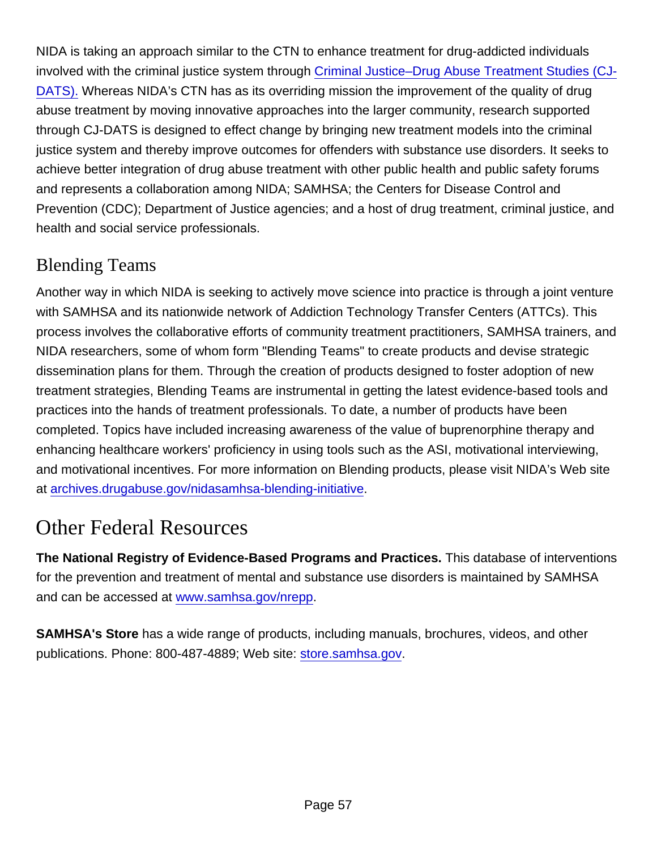NIDA is taking an approach similar to the CTN to enhance treatment for drug-addicted individuals involved with the criminal justice system through [Criminal Justice–Drug Abuse Treatment Studies \(CJ-](http://nida.nih.gov/research/nida-research-programs-activities/justice-system-research)[DATS\).](http://nida.nih.gov/research/nida-research-programs-activities/justice-system-research) Whereas NIDA's CTN has as its overriding mission the improvement of the quality of drug abuse treatment by moving innovative approaches into the larger community, research supported through CJ-DATS is designed to effect change by bringing new treatment models into the criminal justice system and thereby improve outcomes for offenders with substance use disorders. It seeks to achieve better integration of drug abuse treatment with other public health and public safety forums and represents a collaboration among NIDA; SAMHSA; the Centers for Disease Control and Prevention (CDC); Department of Justice agencies; and a host of drug treatment, criminal justice, and health and social service professionals.

#### Blending Teams

Another way in which NIDA is seeking to actively move science into practice is through a joint venture with SAMHSA and its nationwide network of Addiction Technology Transfer Centers (ATTCs). This process involves the collaborative efforts of community treatment practitioners, SAMHSA trainers, and NIDA researchers, some of whom form "Blending Teams" to create products and devise strategic dissemination plans for them. Through the creation of products designed to foster adoption of new treatment strategies, Blending Teams are instrumental in getting the latest evidence-based tools and practices into the hands of treatment professionals. To date, a number of products have been completed. Topics have included increasing awareness of the value of buprenorphine therapy and enhancing healthcare workers' proficiency in using tools such as the ASI, motivational interviewing, and motivational incentives. For more information on Blending products, please visit NIDA's Web site at [archives.drugabuse.gov/nidasamhsa-blending-initiative](https://archives.drugabuse.gov/nidasamhsa-blending-initiative).

## Other Federal Resources

The National Registry of Evidence-Based Programs and Practices. This database of interventions for the prevention and treatment of mental and substance use disorders is maintained by SAMHSA and can be accessed at [www.samhsa.gov/nrepp.](https://www.samhsa.gov/nrepp)

SAMHSA's Store has a wide range of products, including manuals, brochures, videos, and other publications. Phone: 800-487-4889; Web site: [store.samhsa.gov.](http://store.samhsa.gov)